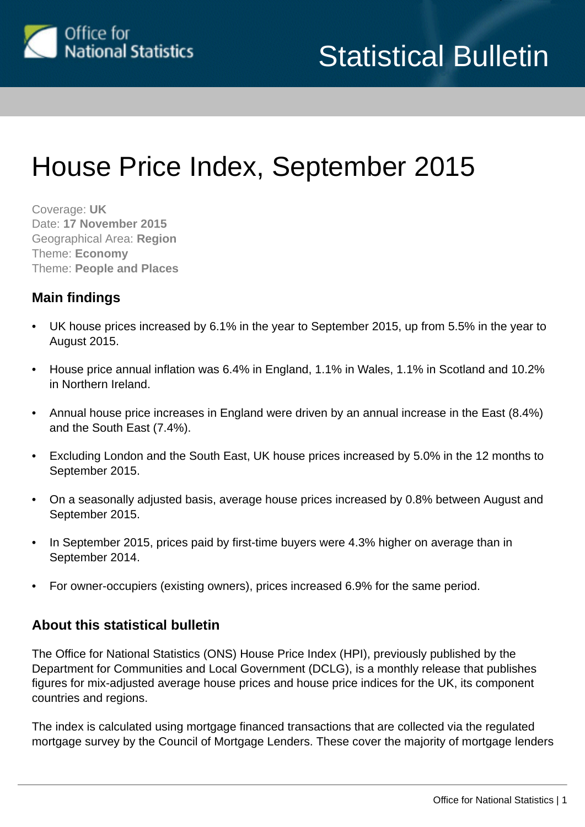

# House Price Index, September 2015

Coverage: **UK** Date: **17 November 2015** Geographical Area: **Region** Theme: **Economy** Theme: **People and Places**

## **Main findings**

- UK house prices increased by 6.1% in the year to September 2015, up from 5.5% in the year to August 2015.
- House price annual inflation was 6.4% in England, 1.1% in Wales, 1.1% in Scotland and 10.2% in Northern Ireland.
- Annual house price increases in England were driven by an annual increase in the East (8.4%) and the South East (7.4%).
- Excluding London and the South East, UK house prices increased by 5.0% in the 12 months to September 2015.
- On a seasonally adjusted basis, average house prices increased by 0.8% between August and September 2015.
- In September 2015, prices paid by first-time buyers were 4.3% higher on average than in September 2014.
- For owner-occupiers (existing owners), prices increased 6.9% for the same period.

## **About this statistical bulletin**

The Office for National Statistics (ONS) House Price Index (HPI), previously published by the Department for Communities and Local Government (DCLG), is a monthly release that publishes figures for mix-adjusted average house prices and house price indices for the UK, its component countries and regions.

The index is calculated using mortgage financed transactions that are collected via the regulated mortgage survey by the Council of Mortgage Lenders. These cover the majority of mortgage lenders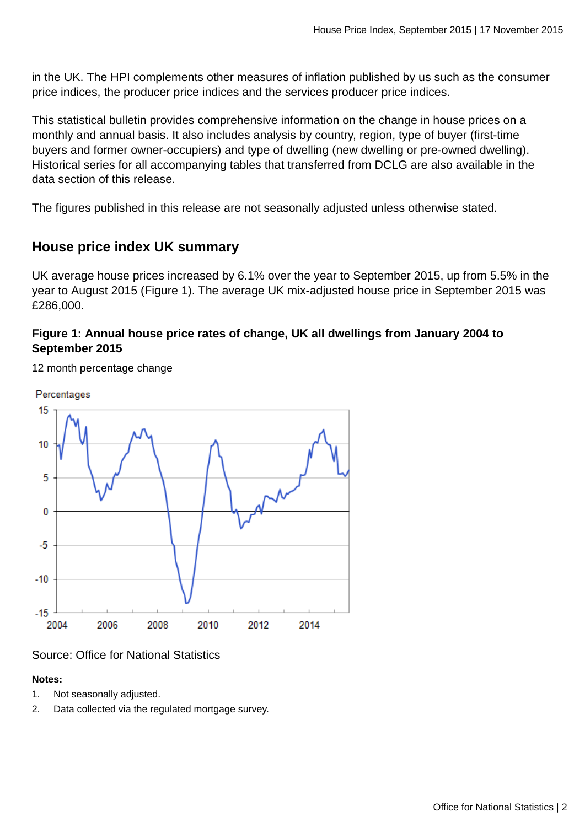in the UK. The HPI complements other measures of inflation published by us such as the consumer price indices, the producer price indices and the services producer price indices.

This statistical bulletin provides comprehensive information on the change in house prices on a monthly and annual basis. It also includes analysis by country, region, type of buyer (first-time buyers and former owner-occupiers) and type of dwelling (new dwelling or pre-owned dwelling). Historical series for all accompanying tables that transferred from DCLG are also available in the data section of this release.

The figures published in this release are not seasonally adjusted unless otherwise stated.

## **House price index UK summary**

UK average house prices increased by 6.1% over the year to September 2015, up from 5.5% in the year to August 2015 (Figure 1). The average UK mix-adjusted house price in September 2015 was £286,000.

## **Figure 1: Annual house price rates of change, UK all dwellings from January 2004 to September 2015**

12 month percentage change



## Source: Office for National Statistics

## **Notes:**

- 1. Not seasonally adjusted.
- 2. Data collected via the regulated mortgage survey.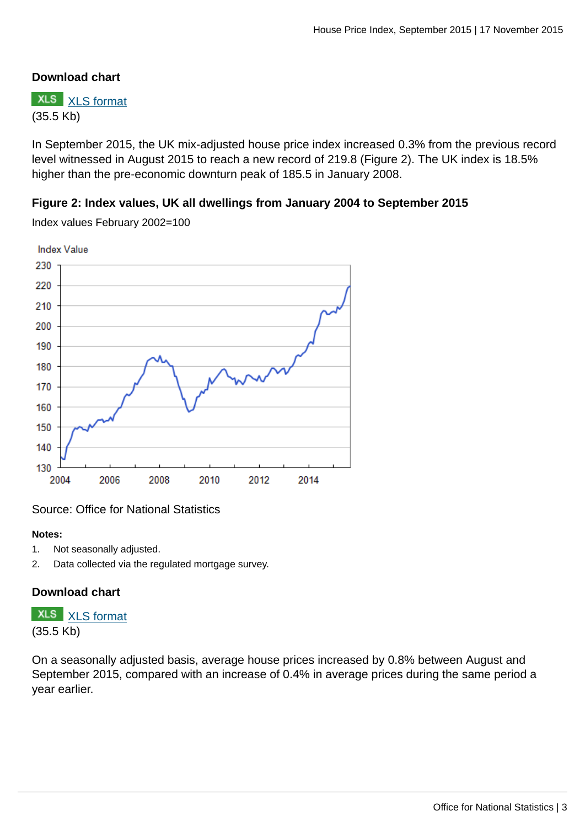## **Download chart**

**XLS** [XLS format](http://www.ons.gov.uk:80/ons/rel/hpi/house-price-index/september-2015/chd-fig-1.xls) (35.5 Kb)

In September 2015, the UK mix-adjusted house price index increased 0.3% from the previous record level witnessed in August 2015 to reach a new record of 219.8 (Figure 2). The UK index is 18.5% higher than the pre-economic downturn peak of 185.5 in January 2008.

## **Figure 2: Index values, UK all dwellings from January 2004 to September 2015**



Index values February 2002=100

## Source: Office for National Statistics

#### **Notes:**

- 1. Not seasonally adjusted.
- 2. Data collected via the regulated mortgage survey.

## **Download chart**

**XLS** [XLS format](http://www.ons.gov.uk:80/ons/rel/hpi/house-price-index/september-2015/chd-fig-2.xls) (35.5 Kb)

On a seasonally adjusted basis, average house prices increased by 0.8% between August and September 2015, compared with an increase of 0.4% in average prices during the same period a year earlier.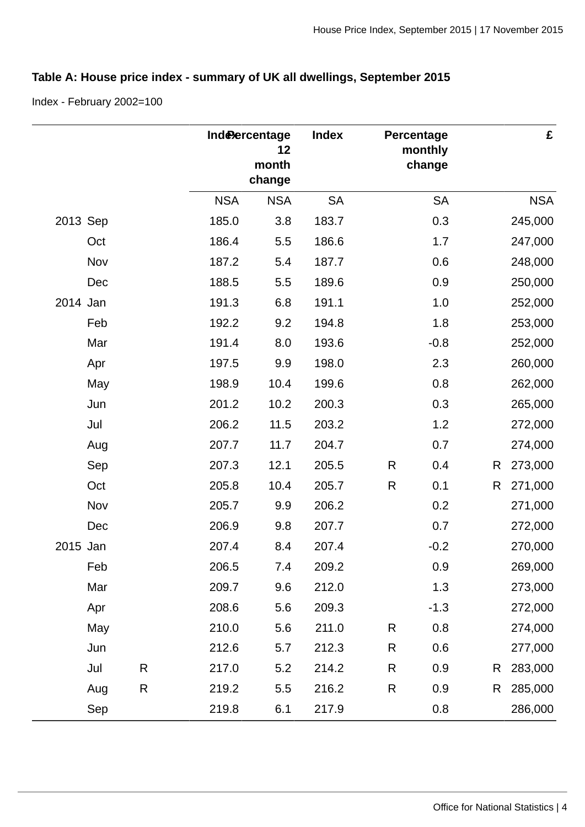## **Table A: House price index - summary of UK all dwellings, September 2015**

Index - February 2002=100

|          |     |   |            | Inde <b>Percentage</b><br>12<br>month<br>change | <b>Index</b> |              | Percentage<br>monthly<br>change |   | £          |
|----------|-----|---|------------|-------------------------------------------------|--------------|--------------|---------------------------------|---|------------|
|          |     |   | <b>NSA</b> | <b>NSA</b>                                      | <b>SA</b>    |              | <b>SA</b>                       |   | <b>NSA</b> |
| 2013 Sep |     |   | 185.0      | 3.8                                             | 183.7        |              | 0.3                             |   | 245,000    |
|          | Oct |   | 186.4      | 5.5                                             | 186.6        |              | 1.7                             |   | 247,000    |
|          | Nov |   | 187.2      | 5.4                                             | 187.7        |              | 0.6                             |   | 248,000    |
|          | Dec |   | 188.5      | 5.5                                             | 189.6        |              | 0.9                             |   | 250,000    |
| 2014 Jan |     |   | 191.3      | 6.8                                             | 191.1        |              | 1.0                             |   | 252,000    |
|          | Feb |   | 192.2      | 9.2                                             | 194.8        |              | 1.8                             |   | 253,000    |
|          | Mar |   | 191.4      | 8.0                                             | 193.6        |              | $-0.8$                          |   | 252,000    |
|          | Apr |   | 197.5      | 9.9                                             | 198.0        |              | 2.3                             |   | 260,000    |
|          | May |   | 198.9      | 10.4                                            | 199.6        |              | 0.8                             |   | 262,000    |
|          | Jun |   | 201.2      | 10.2                                            | 200.3        |              | 0.3                             |   | 265,000    |
|          | Jul |   | 206.2      | 11.5                                            | 203.2        |              | 1.2                             |   | 272,000    |
|          | Aug |   | 207.7      | 11.7                                            | 204.7        |              | 0.7                             |   | 274,000    |
|          | Sep |   | 207.3      | 12.1                                            | 205.5        | R            | 0.4                             | R | 273,000    |
|          | Oct |   | 205.8      | 10.4                                            | 205.7        | $\mathsf{R}$ | 0.1                             | R | 271,000    |
|          | Nov |   | 205.7      | 9.9                                             | 206.2        |              | 0.2                             |   | 271,000    |
|          | Dec |   | 206.9      | 9.8                                             | 207.7        |              | 0.7                             |   | 272,000    |
| 2015 Jan |     |   | 207.4      | 8.4                                             | 207.4        |              | $-0.2$                          |   | 270,000    |
|          | Feb |   | 206.5      | 7.4                                             | 209.2        |              | 0.9                             |   | 269,000    |
|          | Mar |   | 209.7      | 9.6                                             | 212.0        |              | 1.3                             |   | 273,000    |
|          | Apr |   | 208.6      | 5.6                                             | 209.3        |              | $-1.3$                          |   | 272,000    |
|          | May |   | 210.0      | 5.6                                             | 211.0        | R            | 0.8                             |   | 274,000    |
|          | Jun |   | 212.6      | 5.7                                             | 212.3        | R            | 0.6                             |   | 277,000    |
|          | Jul | R | 217.0      | $5.2$                                           | 214.2        | R            | 0.9                             | R | 283,000    |
|          | Aug | R | 219.2      | 5.5                                             | 216.2        | R            | 0.9                             | R | 285,000    |
|          | Sep |   | 219.8      | 6.1                                             | 217.9        |              | 0.8                             |   | 286,000    |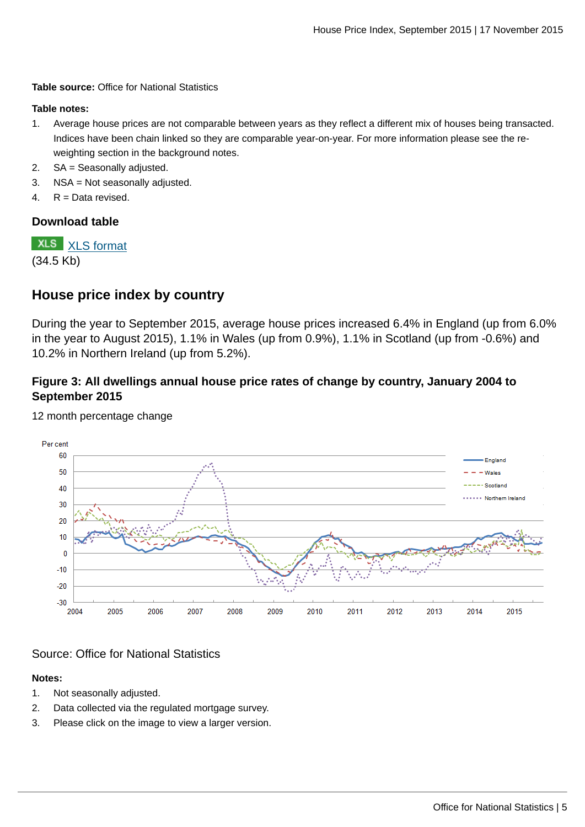**Table source:** Office for National Statistics

#### **Table notes:**

- 1. Average house prices are not comparable between years as they reflect a different mix of houses being transacted. Indices have been chain linked so they are comparable year-on-year. For more information please see the reweighting section in the background notes.
- 2. SA = Seasonally adjusted.
- 3. NSA = Not seasonally adjusted.
- 4. R = Data revised.

#### **Download table**

**XLS** [XLS format](http://www.ons.gov.uk:80/ons/rel/hpi/house-price-index/september-2015/prt1.xls) (34.5 Kb)

## **House price index by country**

During the year to September 2015, average house prices increased 6.4% in England (up from 6.0% in the year to August 2015), 1.1% in Wales (up from 0.9%), 1.1% in Scotland (up from -0.6%) and 10.2% in Northern Ireland (up from 5.2%).

## **Figure 3: All dwellings annual house price rates of change by country, January 2004 to September 2015**



12 month percentage change

## Source: Office for National Statistics

#### **Notes:**

- 1. Not seasonally adjusted.
- 2. Data collected via the regulated mortgage survey.
- 3. Please click on the image to view a larger version.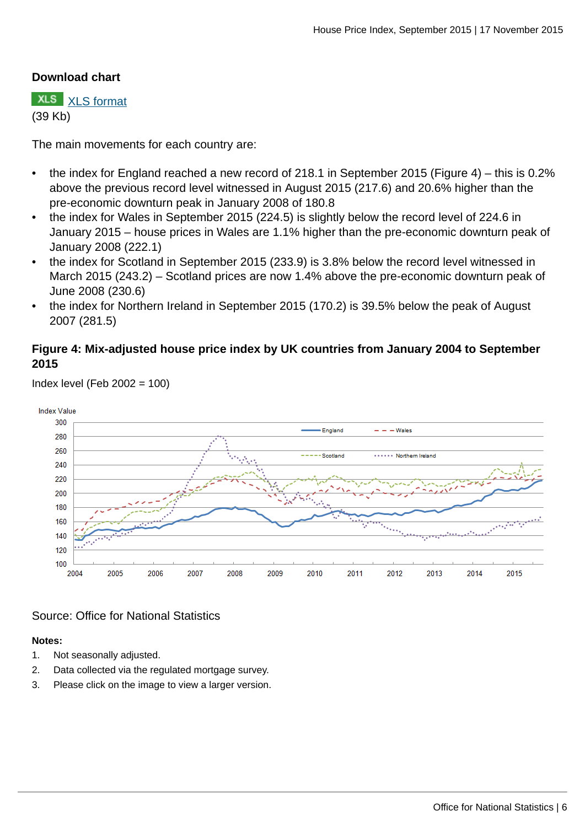## **Download chart**

**XLS** [XLS format](http://www.ons.gov.uk:80/ons/rel/hpi/house-price-index/september-2015/chd-fig-3.xls) (39 Kb)

The main movements for each country are:

- the index for England reached a new record of 218.1 in September 2015 (Figure 4) this is 0.2% above the previous record level witnessed in August 2015 (217.6) and 20.6% higher than the pre-economic downturn peak in January 2008 of 180.8
- the index for Wales in September 2015 (224.5) is slightly below the record level of 224.6 in January 2015 – house prices in Wales are 1.1% higher than the pre-economic downturn peak of January 2008 (222.1)
- the index for Scotland in September 2015 (233.9) is 3.8% below the record level witnessed in March 2015 (243.2) – Scotland prices are now 1.4% above the pre-economic downturn peak of June 2008 (230.6)
- the index for Northern Ireland in September 2015 (170.2) is 39.5% below the peak of August 2007 (281.5)

## **Figure 4: Mix-adjusted house price index by UK countries from January 2004 to September 2015**



Index level (Feb 2002 = 100)

## Source: Office for National Statistics

#### **Notes:**

- 1. Not seasonally adjusted.
- 2. Data collected via the regulated mortgage survey.
- 3. Please click on the image to view a larger version.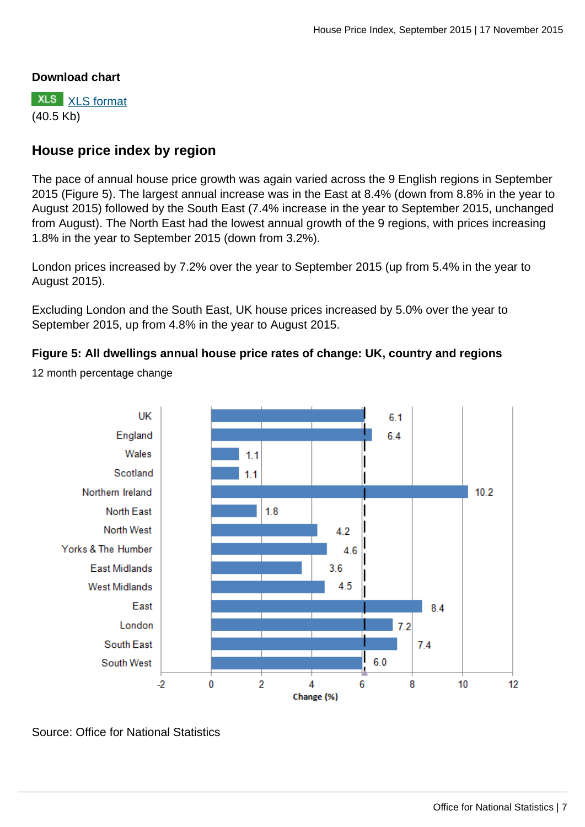## **Download chart**

**XLS** [XLS format](http://www.ons.gov.uk:80/ons/rel/hpi/house-price-index/september-2015/chd-fig-4.xls) (40.5 Kb)

## **House price index by region**

The pace of annual house price growth was again varied across the 9 English regions in September 2015 (Figure 5). The largest annual increase was in the East at 8.4% (down from 8.8% in the year to August 2015) followed by the South East (7.4% increase in the year to September 2015, unchanged from August). The North East had the lowest annual growth of the 9 regions, with prices increasing 1.8% in the year to September 2015 (down from 3.2%).

London prices increased by 7.2% over the year to September 2015 (up from 5.4% in the year to August 2015).

Excluding London and the South East, UK house prices increased by 5.0% over the year to September 2015, up from 4.8% in the year to August 2015.

## **Figure 5: All dwellings annual house price rates of change: UK, country and regions**



12 month percentage change

Source: Office for National Statistics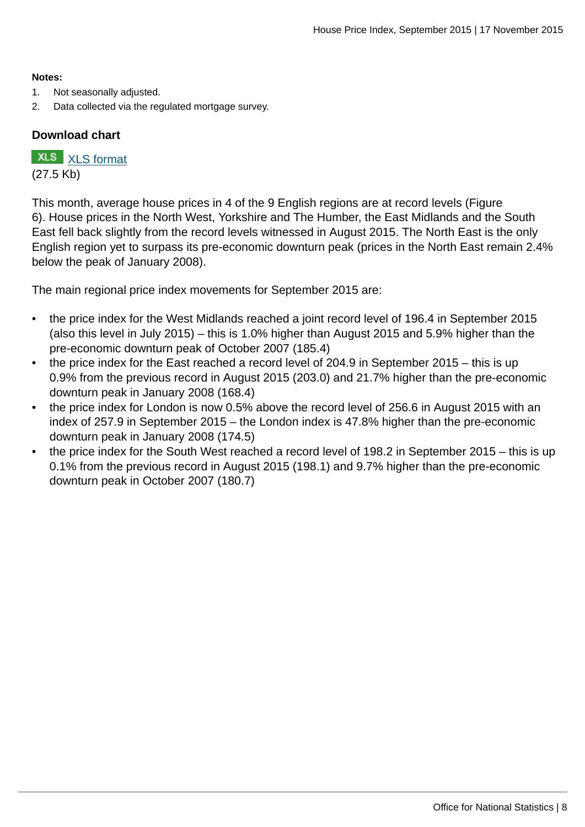#### **Notes:**

- 1. Not seasonally adjusted.
- 2. Data collected via the regulated mortgage survey.

## **Download chart**

**XLS** [XLS format](http://www.ons.gov.uk:80/ons/rel/hpi/house-price-index/september-2015/chd-fig-5.xls) (27.5 Kb)

This month, average house prices in 4 of the 9 English regions are at record levels (Figure 6). House prices in the North West, Yorkshire and The Humber, the East Midlands and the South East fell back slightly from the record levels witnessed in August 2015. The North East is the only English region yet to surpass its pre-economic downturn peak (prices in the North East remain 2.4% below the peak of January 2008).

The main regional price index movements for September 2015 are:

- the price index for the West Midlands reached a joint record level of 196.4 in September 2015 (also this level in July 2015) – this is 1.0% higher than August 2015 and 5.9% higher than the pre-economic downturn peak of October 2007 (185.4)
- the price index for the East reached a record level of 204.9 in September 2015 this is up 0.9% from the previous record in August 2015 (203.0) and 21.7% higher than the pre-economic downturn peak in January 2008 (168.4)
- the price index for London is now 0.5% above the record level of 256.6 in August 2015 with an index of 257.9 in September 2015 – the London index is 47.8% higher than the pre-economic downturn peak in January 2008 (174.5)
- the price index for the South West reached a record level of 198.2 in September 2015 this is up 0.1% from the previous record in August 2015 (198.1) and 9.7% higher than the pre-economic downturn peak in October 2007 (180.7)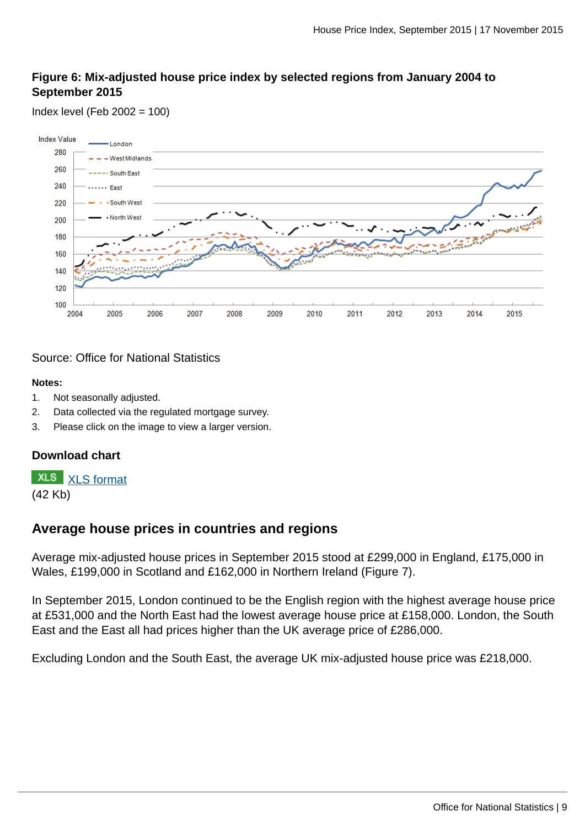## **Figure 6: Mix-adjusted house price index by selected regions from January 2004 to September 2015**

Index level (Feb 2002 = 100)



## Source: Office for National Statistics

#### **Notes:**

- 1. Not seasonally adjusted.
- 2. Data collected via the regulated mortgage survey.
- 3. Please click on the image to view a larger version.

## **Download chart**

**XLS** [XLS format](http://www.ons.gov.uk:80/ons/rel/hpi/house-price-index/september-2015/chd-fig-6.xls) (42 Kb)

## **Average house prices in countries and regions**

Average mix-adjusted house prices in September 2015 stood at £299,000 in England, £175,000 in Wales, £199,000 in Scotland and £162,000 in Northern Ireland (Figure 7).

In September 2015, London continued to be the English region with the highest average house price at £531,000 and the North East had the lowest average house price at £158,000. London, the South East and the East all had prices higher than the UK average price of £286,000.

Excluding London and the South East, the average UK mix-adjusted house price was £218,000.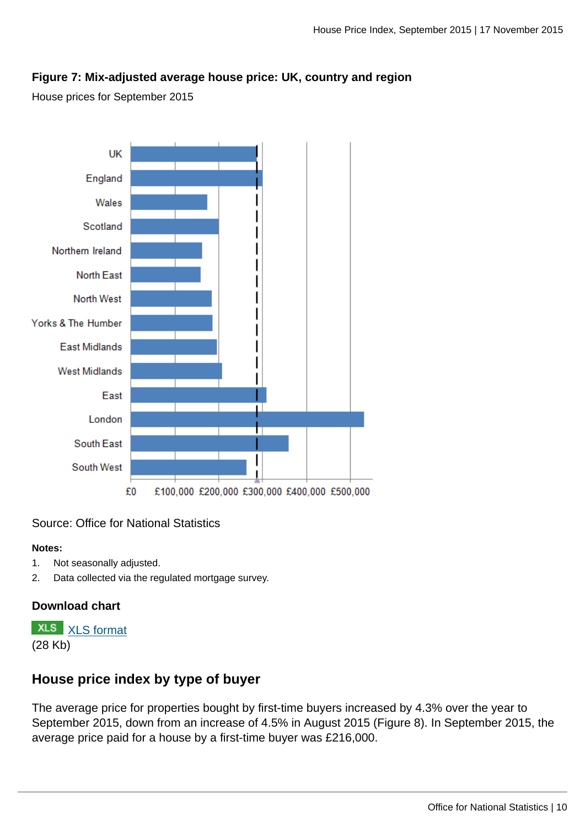## **Figure 7: Mix-adjusted average house price: UK, country and region**

House prices for September 2015



## Source: Office for National Statistics

#### **Notes:**

- 1. Not seasonally adjusted.
- 2. Data collected via the regulated mortgage survey.

## **Download chart**

**XLS** [XLS format](http://www.ons.gov.uk:80/ons/rel/hpi/house-price-index/september-2015/chd-fig-7.xls) (28 Kb)

## **House price index by type of buyer**

The average price for properties bought by first-time buyers increased by 4.3% over the year to September 2015, down from an increase of 4.5% in August 2015 (Figure 8). In September 2015, the average price paid for a house by a first-time buyer was £216,000.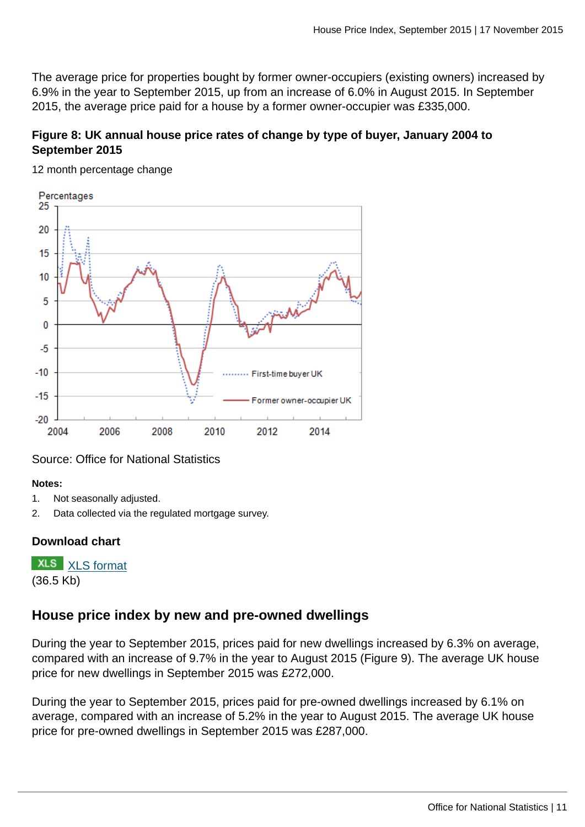The average price for properties bought by former owner-occupiers (existing owners) increased by 6.9% in the year to September 2015, up from an increase of 6.0% in August 2015. In September 2015, the average price paid for a house by a former owner-occupier was £335,000.

## **Figure 8: UK annual house price rates of change by type of buyer, January 2004 to September 2015**



12 month percentage change

Source: Office for National Statistics

## **Notes:**

- 1. Not seasonally adjusted.
- 2. Data collected via the regulated mortgage survey.

## **Download chart**



## **House price index by new and pre-owned dwellings**

During the year to September 2015, prices paid for new dwellings increased by 6.3% on average, compared with an increase of 9.7% in the year to August 2015 (Figure 9). The average UK house price for new dwellings in September 2015 was £272,000.

During the year to September 2015, prices paid for pre-owned dwellings increased by 6.1% on average, compared with an increase of 5.2% in the year to August 2015. The average UK house price for pre-owned dwellings in September 2015 was £287,000.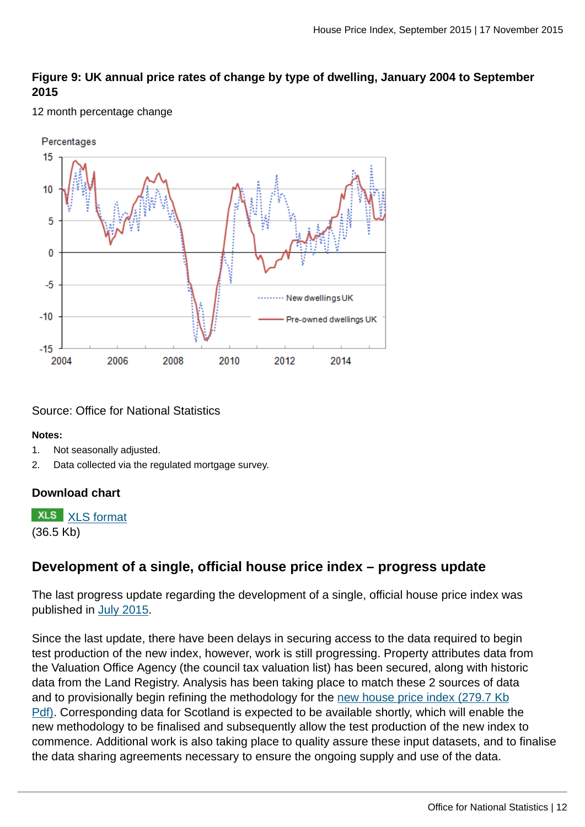## **Figure 9: UK annual price rates of change by type of dwelling, January 2004 to September 2015**

#### 12 month percentage change



Source: Office for National Statistics

#### **Notes:**

- 1. Not seasonally adjusted.
- 2. Data collected via the regulated mortgage survey.

## **Download chart**

**XLS** [XLS format](http://www.ons.gov.uk:80/ons/rel/hpi/house-price-index/september-2015/chd-fig-9.xls)

(36.5 Kb)

## **Development of a single, official house price index – progress update**

The last progress update regarding the development of a single, official house price index was published in [July 2015](http://www.ons.gov.uk:80/ons/rel/hpi/house-price-index/may-2015/stb-may-2015.html).

Since the last update, there have been delays in securing access to the data required to begin test production of the new index, however, work is still progressing. Property attributes data from the Valuation Office Agency (the council tax valuation list) has been secured, along with historic data from the Land Registry. Analysis has been taking place to match these 2 sources of data and to provisionally begin refining the methodology for the [new house price index \(279.7 Kb](http://www.ons.gov.uk:80/ons/about-ons/get-involved/consultations-and-user-surveys/consultations/consultation-on-the-development-of-a-definitive-house-price-index/consultation-on-the-development-of-a-definitive-hpi.pdf)) [Pdf\)](http://www.ons.gov.uk:80/ons/about-ons/get-involved/consultations-and-user-surveys/consultations/consultation-on-the-development-of-a-definitive-house-price-index/consultation-on-the-development-of-a-definitive-hpi.pdf). Corresponding data for Scotland is expected to be available shortly, which will enable the new methodology to be finalised and subsequently allow the test production of the new index to commence. Additional work is also taking place to quality assure these input datasets, and to finalise the data sharing agreements necessary to ensure the ongoing supply and use of the data.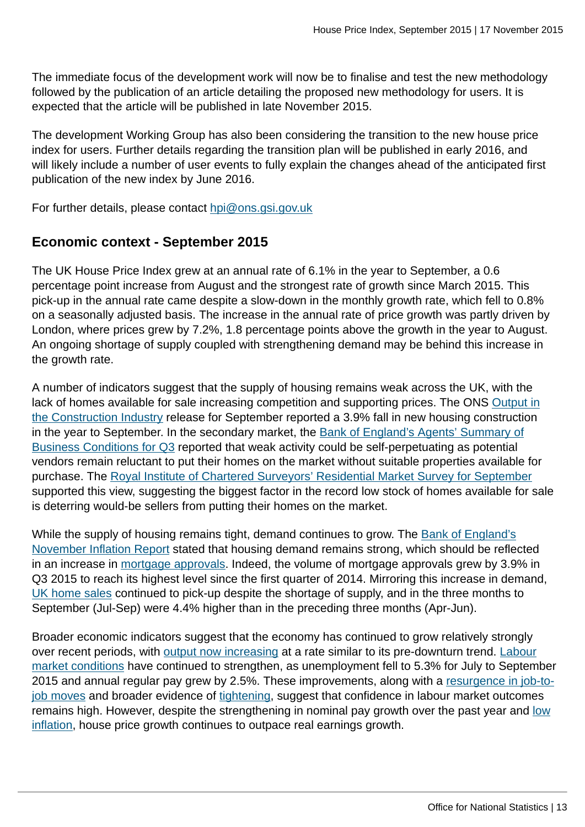The immediate focus of the development work will now be to finalise and test the new methodology followed by the publication of an article detailing the proposed new methodology for users. It is expected that the article will be published in late November 2015.

The development Working Group has also been considering the transition to the new house price index for users. Further details regarding the transition plan will be published in early 2016, and will likely include a number of user events to fully explain the changes ahead of the anticipated first publication of the new index by June 2016.

For further details, please contact [hpi@ons.gsi.gov.uk](mailto:hpi@ons.gsi.gov.uk)

## **Economic context - September 2015**

The UK House Price Index grew at an annual rate of 6.1% in the year to September, a 0.6 percentage point increase from August and the strongest rate of growth since March 2015. This pick-up in the annual rate came despite a slow-down in the monthly growth rate, which fell to 0.8% on a seasonally adjusted basis. The increase in the annual rate of price growth was partly driven by London, where prices grew by 7.2%, 1.8 percentage points above the growth in the year to August. An ongoing shortage of supply coupled with strengthening demand may be behind this increase in the growth rate.

A number of indicators suggest that the supply of housing remains weak across the UK, with the lack of homes available for sale increasing competition and supporting prices. The ONS [Output in](http://www.ons.gov.uk:80/ons/rel/construction/output-in-the-construction-industry/september-2015.html) [the Construction Industry](http://www.ons.gov.uk:80/ons/rel/construction/output-in-the-construction-industry/september-2015.html) release for September reported a 3.9% fall in new housing construction in the year to September. In the secondary market, the [Bank of England's Agents' Summary of](http://www.bankofengland.co.uk/publications/Pages/agentssummary/2015/sep.aspx) [Business Conditions for Q3](http://www.bankofengland.co.uk/publications/Pages/agentssummary/2015/sep.aspx) reported that weak activity could be self-perpetuating as potential vendors remain reluctant to put their homes on the market without suitable properties available for purchase. The [Royal Institute of Chartered Surveyors' Residential Market Survey for September](http://www.rics.org/uk/knowledge/market-analysis/rics-residential-market-survey/) supported this view, suggesting the biggest factor in the record low stock of homes available for sale is deterring would-be sellers from putting their homes on the market.

While the supply of housing remains tight, demand continues to grow. The [Bank of England's](http://www.bankofengland.co.uk/publications/Pages/inflationreport/2015/nov.aspx) [November Inflation Report](http://www.bankofengland.co.uk/publications/Pages/inflationreport/2015/nov.aspx) stated that housing demand remains strong, which should be reflected in an increase in [mortgage approvals](http://www.bankofengland.co.uk/statistics/Pages/mc/2015/sep.aspx). Indeed, the volume of mortgage approvals grew by 3.9% in Q3 2015 to reach its highest level since the first quarter of 2014. Mirroring this increase in demand, [UK home sales](https://www.gov.uk/government/statistics/monthly-property-transactions-completed-in-the-uk-with-value-40000-or-above) continued to pick-up despite the shortage of supply, and in the three months to September (Jul-Sep) were 4.4% higher than in the preceding three months (Apr-Jun).

Broader economic indicators suggest that the economy has continued to grow relatively strongly over recent periods, with [output now increasing](http://www.ons.gov.uk:80/ons/rel/gva/gross-domestic-product--preliminary-estimate/q3-2015/index.html) at a rate similar to its pre-downturn trend. [Labour](http://www.ons.gov.uk:80/ons/rel/lms/labour-market-statistics/november-2015/index.html) [market conditions](http://www.ons.gov.uk:80/ons/rel/lms/labour-market-statistics/november-2015/index.html) have continued to strengthen, as unemployment fell to 5.3% for July to September 2015 and annual regular pay grew by 2.5%. These improvements, along with a [resurgence in job-to](http://www.ons.gov.uk:80/ons/rel/elmr/economic-review/september-2015/art---economic-review-sept-2015.html)[job moves](http://www.ons.gov.uk:80/ons/rel/elmr/economic-review/september-2015/art---economic-review-sept-2015.html) and broader evidence of [tightening](http://www.ons.gov.uk:80/ons/rel/elmr/economic-review/october-2015/art---economic-review-oct-2015.html), suggest that confidence in labour market outcomes remains high. However, despite the strengthening in nominal pay growth over the past year and [low](http://www.ons.gov.uk:80/ons/rel/cpi/consumer-price-indices/september-2015/index.html) [inflation,](http://www.ons.gov.uk:80/ons/rel/cpi/consumer-price-indices/september-2015/index.html) house price growth continues to outpace real earnings growth.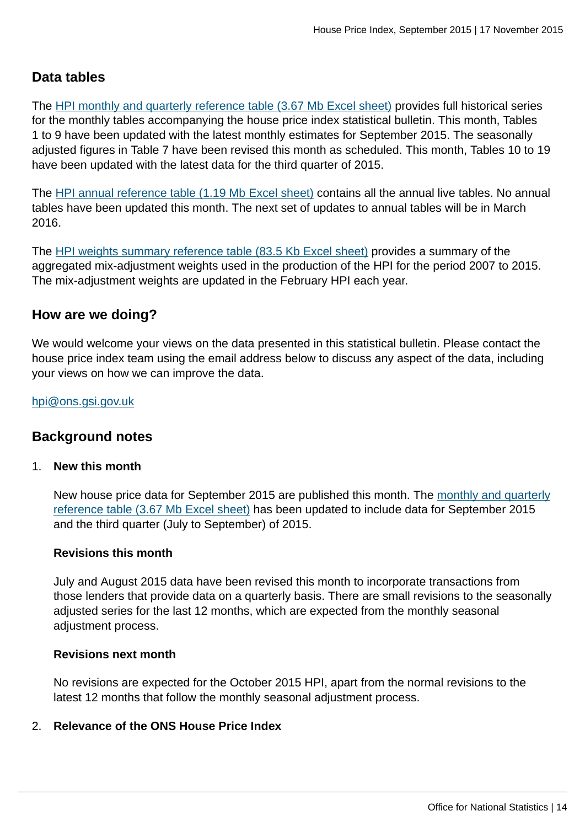## **Data tables**

The [HPI monthly and quarterly reference table \(3.67 Mb Excel sheet\)](http://www.ons.gov.uk:80/ons/rel/hpi/house-price-index/september-2015/rft1.xls) provides full historical series for the monthly tables accompanying the house price index statistical bulletin. This month, Tables 1 to 9 have been updated with the latest monthly estimates for September 2015. The seasonally adjusted figures in Table 7 have been revised this month as scheduled. This month, Tables 10 to 19 have been updated with the latest data for the third quarter of 2015.

The [HPI annual reference table \(1.19 Mb Excel sheet\)](http://www.ons.gov.uk:80/ons/rel/hpi/house-price-index/september-2015/rft2.xls) contains all the annual live tables. No annual tables have been updated this month. The next set of updates to annual tables will be in March 2016.

The [HPI weights summary reference table \(83.5 Kb Excel sheet\)](http://www.ons.gov.uk:80/ons/rel/hpi/house-price-index/april-2015/rft-annual-weights.xls) provides a summary of the aggregated mix-adjustment weights used in the production of the HPI for the period 2007 to 2015. The mix-adjustment weights are updated in the February HPI each year.

## **How are we doing?**

We would welcome your views on the data presented in this statistical bulletin. Please contact the house price index team using the email address below to discuss any aspect of the data, including your views on how we can improve the data.

## [hpi@ons.gsi.gov.uk](mailto:hpi@ons.gsi.gov.uk)

## **Background notes**

## 1. **New this month**

New house price data for September 2015 are published this month. The [monthly and quarterly](http://www.ons.gov.uk:80/ons/rel/hpi/house-price-index/september-2015/rft1.xls) [reference table \(3.67 Mb Excel sheet\)](http://www.ons.gov.uk:80/ons/rel/hpi/house-price-index/september-2015/rft1.xls) has been updated to include data for September 2015 and the third quarter (July to September) of 2015.

## **Revisions this month**

July and August 2015 data have been revised this month to incorporate transactions from those lenders that provide data on a quarterly basis. There are small revisions to the seasonally adjusted series for the last 12 months, which are expected from the monthly seasonal adjustment process.

#### **Revisions next month**

No revisions are expected for the October 2015 HPI, apart from the normal revisions to the latest 12 months that follow the monthly seasonal adjustment process.

## 2. **Relevance of the ONS House Price Index**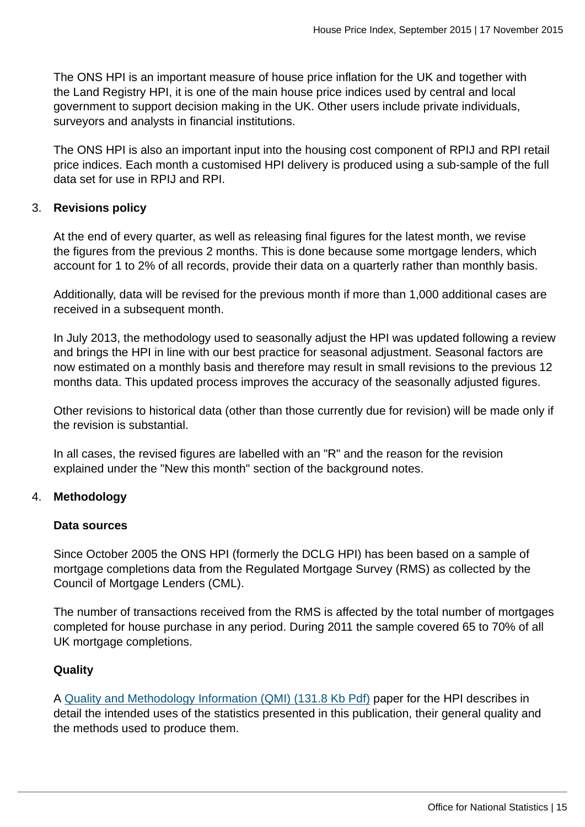The ONS HPI is an important measure of house price inflation for the UK and together with the Land Registry HPI, it is one of the main house price indices used by central and local government to support decision making in the UK. Other users include private individuals, surveyors and analysts in financial institutions.

The ONS HPI is also an important input into the housing cost component of RPIJ and RPI retail price indices. Each month a customised HPI delivery is produced using a sub-sample of the full data set for use in RPIJ and RPI.

## 3. **Revisions policy**

At the end of every quarter, as well as releasing final figures for the latest month, we revise the figures from the previous 2 months. This is done because some mortgage lenders, which account for 1 to 2% of all records, provide their data on a quarterly rather than monthly basis.

Additionally, data will be revised for the previous month if more than 1,000 additional cases are received in a subsequent month.

In July 2013, the methodology used to seasonally adjust the HPI was updated following a review and brings the HPI in line with our best practice for seasonal adjustment. Seasonal factors are now estimated on a monthly basis and therefore may result in small revisions to the previous 12 months data. This updated process improves the accuracy of the seasonally adjusted figures.

Other revisions to historical data (other than those currently due for revision) will be made only if the revision is substantial.

In all cases, the revised figures are labelled with an "R" and the reason for the revision explained under the "New this month" section of the background notes.

## 4. **Methodology**

## **Data sources**

Since October 2005 the ONS HPI (formerly the DCLG HPI) has been based on a sample of mortgage completions data from the Regulated Mortgage Survey (RMS) as collected by the Council of Mortgage Lenders (CML).

The number of transactions received from the RMS is affected by the total number of mortgages completed for house purchase in any period. During 2011 the sample covered 65 to 70% of all UK mortgage completions.

## **Quality**

A [Quality and Methodology Information \(QMI\) \(131.8 Kb Pdf\)](http://www.ons.gov.uk:80/ons/guide-method/method-quality/quality/quality-information/economy/quality-and-methodology-information-for-house-price-index.pdf) paper for the HPI describes in detail the intended uses of the statistics presented in this publication, their general quality and the methods used to produce them.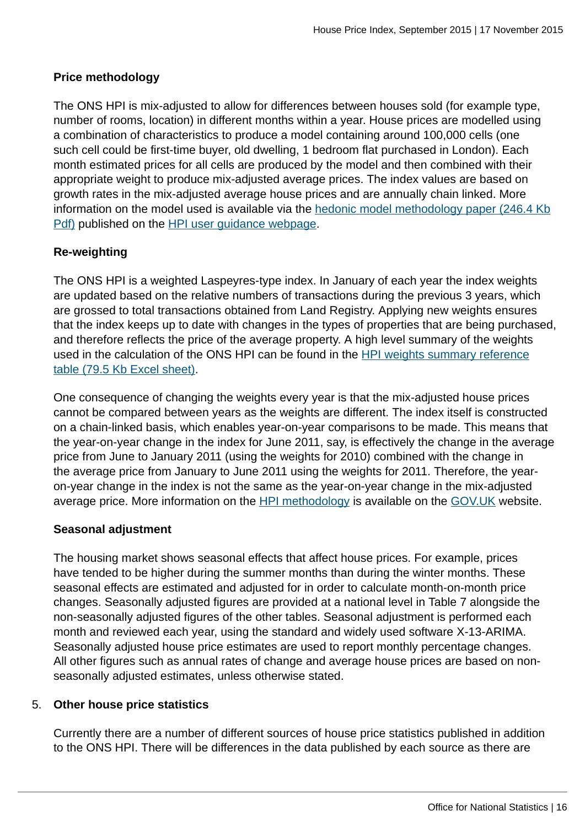## **Price methodology**

The ONS HPI is mix-adjusted to allow for differences between houses sold (for example type, number of rooms, location) in different months within a year. House prices are modelled using a combination of characteristics to produce a model containing around 100,000 cells (one such cell could be first-time buyer, old dwelling, 1 bedroom flat purchased in London). Each month estimated prices for all cells are produced by the model and then combined with their appropriate weight to produce mix-adjusted average prices. The index values are based on growth rates in the mix-adjusted average house prices and are annually chain linked. More information on the model used is available via the [hedonic model methodology paper \(246.4 Kb](http://www.ons.gov.uk:80/ons/guide-method/user-guidance/prices/hpi/hedonic-model.pdf) [Pdf\)](http://www.ons.gov.uk:80/ons/guide-method/user-guidance/prices/hpi/hedonic-model.pdf) published on the [HPI user guidance webpage.](http://www.ons.gov.uk:80/ons/guide-method/user-guidance/prices/hpi/index.html)

## **Re-weighting**

The ONS HPI is a weighted Laspeyres-type index. In January of each year the index weights are updated based on the relative numbers of transactions during the previous 3 years, which are grossed to total transactions obtained from Land Registry. Applying new weights ensures that the index keeps up to date with changes in the types of properties that are being purchased, and therefore reflects the price of the average property. A high level summary of the weights used in the calculation of the ONS HPI can be found in the [HPI weights summary reference](http://www.ons.gov.uk:80/ons/rel/hpi/house-price-index/february-2015/rft-annual-weights.xls) [table \(79.5 Kb Excel sheet\)](http://www.ons.gov.uk:80/ons/rel/hpi/house-price-index/february-2015/rft-annual-weights.xls).

One consequence of changing the weights every year is that the mix-adjusted house prices cannot be compared between years as the weights are different. The index itself is constructed on a chain-linked basis, which enables year-on-year comparisons to be made. This means that the year-on-year change in the index for June 2011, say, is effectively the change in the average price from June to January 2011 (using the weights for 2010) combined with the change in the average price from January to June 2011 using the weights for 2011. Therefore, the yearon-year change in the index is not the same as the year-on-year change in the mix-adjusted average price. More information on the [HPI methodology](https://www.gov.uk/housing-market-and-house-price-information-notes-and-definitions) is available on the [GOV.UK](http://www.gov.uk/) website.

## **Seasonal adjustment**

The housing market shows seasonal effects that affect house prices. For example, prices have tended to be higher during the summer months than during the winter months. These seasonal effects are estimated and adjusted for in order to calculate month-on-month price changes. Seasonally adjusted figures are provided at a national level in Table 7 alongside the non-seasonally adjusted figures of the other tables. Seasonal adjustment is performed each month and reviewed each year, using the standard and widely used software X-13-ARIMA. Seasonally adjusted house price estimates are used to report monthly percentage changes. All other figures such as annual rates of change and average house prices are based on nonseasonally adjusted estimates, unless otherwise stated.

## 5. **Other house price statistics**

Currently there are a number of different sources of house price statistics published in addition to the ONS HPI. There will be differences in the data published by each source as there are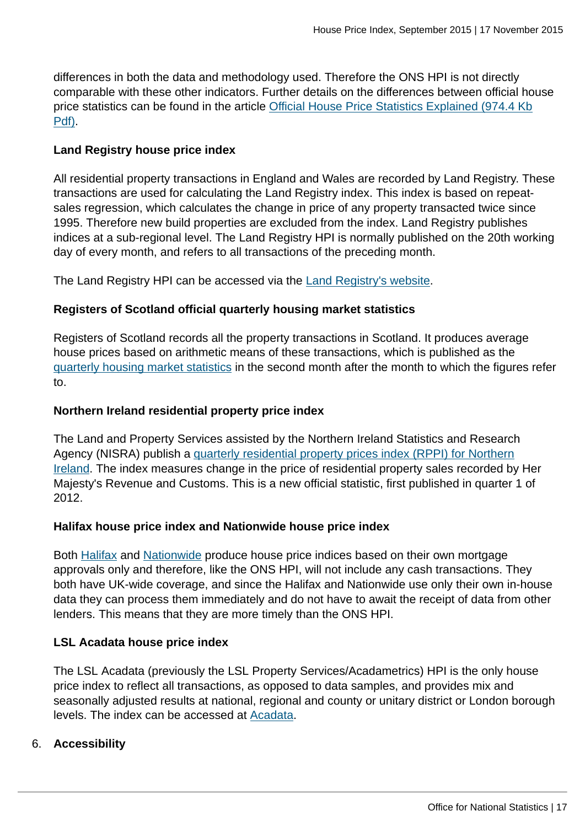differences in both the data and methodology used. Therefore the ONS HPI is not directly comparable with these other indicators. Further details on the differences between official house price statistics can be found in the article [Official House Price Statistics Explained \(974.4 Kb](http://www.ons.gov.uk:80/ons/guide-method/user-guidance/prices/hpi/official-house-price-statistics-explained.pdf) [Pdf\)](http://www.ons.gov.uk:80/ons/guide-method/user-guidance/prices/hpi/official-house-price-statistics-explained.pdf).

## **Land Registry house price index**

All residential property transactions in England and Wales are recorded by Land Registry. These transactions are used for calculating the Land Registry index. This index is based on repeatsales regression, which calculates the change in price of any property transacted twice since 1995. Therefore new build properties are excluded from the index. Land Registry publishes indices at a sub-regional level. The Land Registry HPI is normally published on the 20th working day of every month, and refers to all transactions of the preceding month.

The Land Registry HPI can be accessed via the [Land Registry's website](http://wasppreview.ons.statistics.gov.uk/ons/external-links/other-government-departments/index.html).

## **Registers of Scotland official quarterly housing market statistics**

Registers of Scotland records all the property transactions in Scotland. It produces average house prices based on arithmetic means of these transactions, which is published as the [quarterly housing market statistics](http://www.ros.gov.uk/property-data/property-statistics/quarterly-house-price-statistics) in the second month after the month to which the figures refer to.

## **Northern Ireland residential property price index**

The Land and Property Services assisted by the Northern Ireland Statistics and Research Agency (NISRA) publish a [quarterly residential property prices index \(RPPI\) for Northern](http://www.ons.gov.uk:80/ons/external-links/devolved-admins/nisra/nisra--northern-ireland-residential-property-price-index.html) [Ireland](http://www.ons.gov.uk:80/ons/external-links/devolved-admins/nisra/nisra--northern-ireland-residential-property-price-index.html). The index measures change in the price of residential property sales recorded by Her Majesty's Revenue and Customs. This is a new official statistic, first published in quarter 1 of 2012.

## **Halifax house price index and Nationwide house price index**

Both [Halifax](http://www.lloydsbankinggroup.com/media1/economic_insight/halifax_house_price_index_page.asp) and [Nationwide](http://www.nationwide.co.uk/hpi/) produce house price indices based on their own mortgage approvals only and therefore, like the ONS HPI, will not include any cash transactions. They both have UK-wide coverage, and since the Halifax and Nationwide use only their own in-house data they can process them immediately and do not have to await the receipt of data from other lenders. This means that they are more timely than the ONS HPI.

## **LSL Acadata house price index**

The LSL Acadata (previously the LSL Property Services/Acadametrics) HPI is the only house price index to reflect all transactions, as opposed to data samples, and provides mix and seasonally adjusted results at national, regional and county or unitary district or London borough levels. The index can be accessed at [Acadata](http://www.acadata.co.uk/acadHousePrices.php).

## 6. **Accessibility**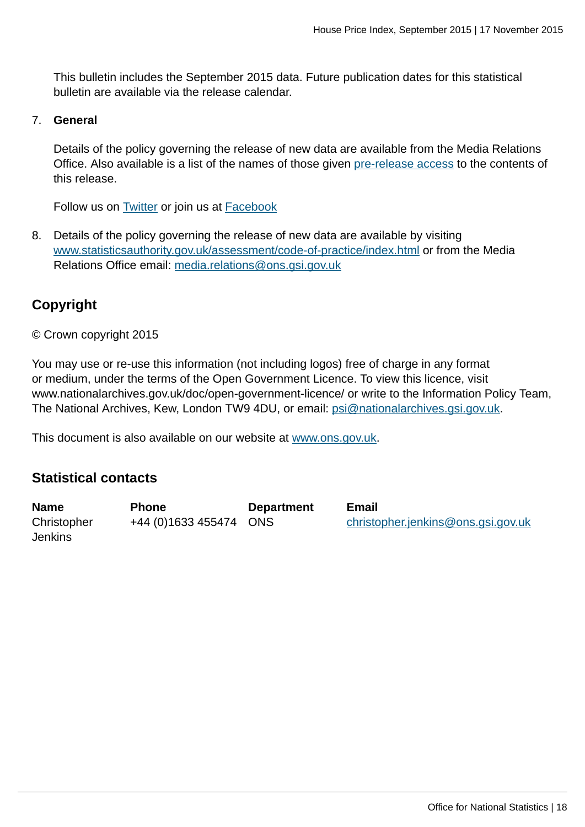This bulletin includes the September 2015 data. Future publication dates for this statistical bulletin are available via the release calendar.

### 7. **General**

Details of the policy governing the release of new data are available from the Media Relations Office. Also available is a list of the names of those given [pre-release access](http://www.ons.gov.uk:80/ons/rel/hpi/house-price-index/september-2015/pra.html) to the contents of this release.

Follow us on [Twitter](http://www.ons.gov.uk:80/ons/external-links/social-media/twitter.html) or join us at [Facebook](http://www.ons.gov.uk:80/ons/external-links/social-media/index.html)

8. Details of the policy governing the release of new data are available by visiting [www.statisticsauthority.gov.uk/assessment/code-of-practice/index.html](http://www.statisticsauthority.gov.uk/assessment/code-of-practice/index.html) or from the Media Relations Office email: [media.relations@ons.gsi.gov.uk](mailto:media.relations@ons.gsi.gov.uk)

## **Copyright**

© Crown copyright 2015

You may use or re-use this information (not including logos) free of charge in any format or medium, under the terms of the Open Government Licence. To view this licence, visit www.nationalarchives.gov.uk/doc/open-government-licence/ or write to the Information Policy Team, The National Archives, Kew, London TW9 4DU, or email: [psi@nationalarchives.gsi.gov.uk](mailto:psi@nationalarchives.gsi.gov.uk).

This document is also available on our website at [www.ons.gov.uk.](http://www.ons.gov.uk/)

## **Statistical contacts**

| <b>Name</b>    | <b>Phone</b>           | <b>Department</b> | Email                              |
|----------------|------------------------|-------------------|------------------------------------|
| Christopher    | +44 (0)1633 455474 ONS |                   | christopher.jenkins@ons.gsi.gov.uk |
| <b>Jenkins</b> |                        |                   |                                    |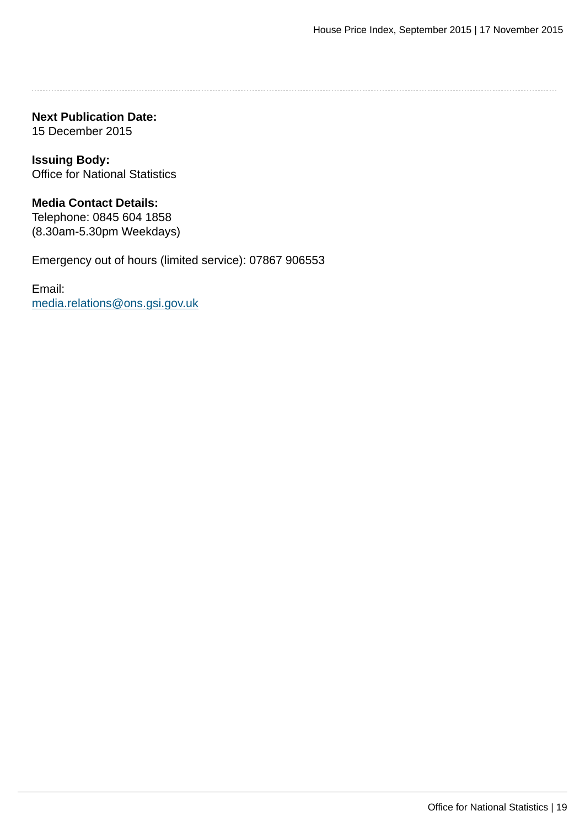**Next Publication Date:** 15 December 2015

**Issuing Body:** Office for National Statistics

**Media Contact Details:** Telephone: 0845 604 1858 (8.30am-5.30pm Weekdays)

Emergency out of hours (limited service): 07867 906553

Email: [media.relations@ons.gsi.gov.uk](mailto:media.relations@ons.gsi.gov.uk)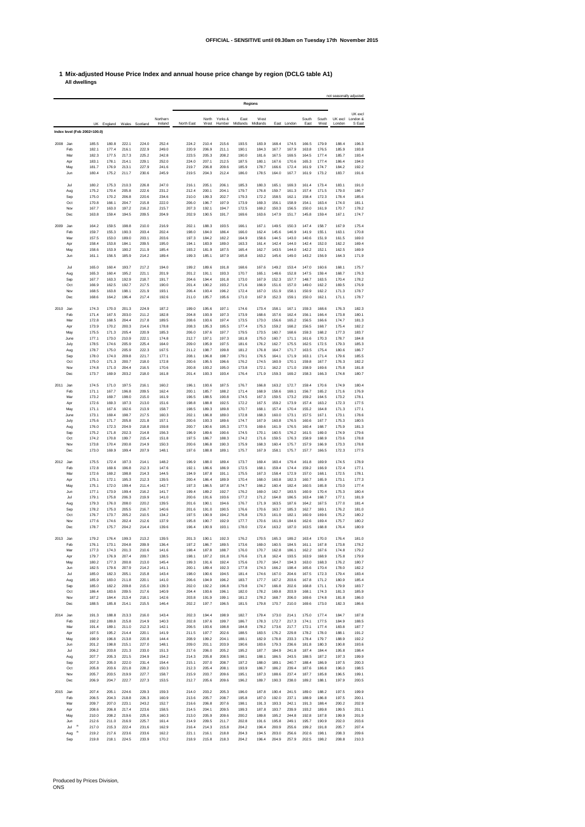## **1 Mix-adjusted House Price Index and annual house price change by region (DCLG table A1) All dwellings**

|          |                              |                |                |                |                |                |                |                |                |                | Regions        |                |                |                |                |                | not seasonally adjusted     |
|----------|------------------------------|----------------|----------------|----------------|----------------|----------------|----------------|----------------|----------------|----------------|----------------|----------------|----------------|----------------|----------------|----------------|-----------------------------|
|          |                              |                |                |                |                | Northern       |                | North          | Yorks &        | East           | West           |                |                | South          | South          |                | UK excl<br>UK excl London & |
|          |                              | <b>UK</b>      | England        | Wales          | Scotland       | Ireland        | North East     | West           | Humber         | Midlands       | Midlands       | East           | London         | East           | West           | London         | S East                      |
|          | Index level (Feb 2002=100.0) |                |                |                |                |                |                |                |                |                |                |                |                |                |                |                |                             |
| 2008     | Jan                          | 185.5          | 180.8          | 222.1          | 224.0          | 252.4          | 224.2          | 210.4          | 215.6          | 193.5          | 183.9          | 168.4          | 174.5          | 166.5          | 179.9          | 188.4          | 196.3                       |
|          | Feb<br>Mar                   | 182.1<br>182.3 | 177.4<br>177.5 | 216.1<br>217.3 | 222.9<br>225.2 | 249.0<br>242.8 | 220.9<br>223.5 | 206.9<br>205.3 | 211.1<br>208.2 | 190.1<br>190.0 | 184.3<br>181.6 | 167.7<br>167.5 | 167.9<br>169.5 | 163.8<br>164.5 | 176.5<br>177.4 | 185.9<br>185.7 | 193.8<br>193.4              |
|          | Apr                          | 183.1          | 178.1          | 214.1          | 229.1          | 252.0          | 224.0          | 207.1          | 212.5          | 187.5          | 180.1          | 167.6          | 170.6          | 165.3          | 177.4          | 186.4          | 194.0                       |
|          | May<br>Jun                   | 181.7<br>180.4 | 176.9<br>175.2 | 213.1<br>211.7 | 227.9<br>230.6 | 241.6<br>245.9 | 219.7<br>219.5 | 206.8<br>204.3 | 209.6<br>212.4 | 185.9<br>186.0 | 178.7<br>178.5 | 166.6<br>164.0 | 172.4<br>167.7 | 161.9<br>161.9 | 174.7<br>173.2 | 184.2<br>183.7 | 192.2<br>191.6              |
|          | Jul                          | 180.2          | 175.3          | 210.3          | 226.8          | 247.0          | 216.1          | 205.1          | 206.1          | 185.3          | 180.3          | 165.1          | 169.3          | 161.4          | 173.4          | 183.1          | 191.0                       |
|          | Aug                          | 175.2          | 170.4          | 205.8          | 222.6          | 231.2          | 212.4          | 200.1          | 204.1          | 179.7          | 176.8          | 159.7          | 161.3          | 157.4          | 171.5          | 179.0          | 186.7                       |
|          | Sep<br>Oct                   | 175.0          | 170.2          | 206.8          | 220.6<br>215.8 | 234.6<br>222.0 | 210.0          | 199.3          | 202.7          | 179.3          | 172.2          | 158.5          | 162.1          | 158.4          | 172.3          | 178.4          | 185.6<br>181.1              |
|          | Nov                          | 170.8<br>167.7 | 166.1<br>163.0 | 204.7<br>197.2 | 216.2          | 215.7          | 206.0<br>207.3 | 196.7<br>192.1 | 197.9<br>194.7 | 173.9<br>172.5 | 169.3<br>169.2 | 156.1<br>150.3 | 158.9<br>156.5 | 154.1<br>150.0 | 163.4<br>161.9 | 174.0<br>170.7 | 178.2                       |
|          | Dec                          | 163.8          | 159.4          | 194.5          | 209.5          | 204.9          | 202.9          | 190.5          | 191.7          | 169.6          | 163.6          | 147.9          | 151.7          | 145.8          | 159.4          | 167.1          | 174.7                       |
| 2009     | Jan                          | 164.2          | 159.5          | 198.8          | 210.0          | 216.9          | 202.1          | 188.3          | 193.5          | 166.1          | 167.1          | 149.5          | 150.3          | 147.4          | 158.7          | 167.9          | 175.4                       |
|          | Feb<br>Mar                   | 159.7<br>157.5 | 155.3<br>153.0 | 190.3<br>189.0 | 203.4<br>203.1 | 202.4<br>203.6 | 198.0<br>197.3 | 184.0<br>184.2 | 186.4<br>182.2 | 166.0<br>164.9 | 162.4<br>158.6 | 145.6<br>144.5 | 146.9<br>143.0 | 141.9<br>140.6 | 155.1<br>151.9 | 163.1<br>161.5 | 170.8<br>169.0              |
|          | Apr                          | 158.4          | 153.8          | 184.1          | 209.5          | 195.0          | 194.1          | 183.9          | 189.0          | 163.3          | 161.4          | 142.4          | 144.0          | 142.4          | 152.0          | 162.2          | 169.4                       |
|          | May<br>Jun                   | 158.6<br>161.1 | 153.9<br>156.5 | 190.2<br>185.9 | 211.9<br>214.2 | 185.4<br>189.4 | 193.2<br>199.3 | 181.9<br>185.1 | 187.5<br>187.9 | 165.4<br>165.8 | 162.7<br>163.2 | 143.5<br>145.6 | 144.0<br>149.0 | 142.2<br>143.2 | 152.1<br>156.9 | 162.5<br>164.3 | 169.9<br>171.9              |
|          |                              |                |                |                |                |                |                |                |                |                |                |                |                |                |                |                |                             |
|          | Jul<br>Aug                   | 165.0<br>165.3 | 160.4<br>160.4 | 193.7<br>195.2 | 217.2<br>221.1 | 194.0<br>201.9 | 199.2<br>201.2 | 189.6<br>191.1 | 191.8<br>193.3 | 168.6<br>170.7 | 167.6<br>165.1 | 149.2<br>148.6 | 153.4<br>152.8 | 147.0<br>147.5 | 160.6<br>159.4 | 168.1<br>168.7 | 175.7<br>176.3              |
|          | Sep                          | 167.7          | 163.3          | 192.9          | 218.7          | 191.7          | 204.6          | 194.4          | 191.8          | 173.0          | 167.9          | 152.3          | 157.7          | 148.7          | 163.5          | 170.4          | 178.2                       |
|          | Oct<br>Nov                   | 166.9<br>168.5 | 162.5<br>163.8 | 192.7<br>198.1 | 217.5<br>221.9 | 190.0<br>193.1 | 201.4<br>206.4 | 190.2<br>193.4 | 193.2<br>196.2 | 171.6<br>172.4 | 166.9<br>167.0 | 151.6<br>151.9 | 157.0<br>158.1 | 149.0<br>150.9 | 162.2<br>162.2 | 169.5<br>171.3 | 176.9<br>178.7              |
|          | Dec                          | 168.6          | 164.2          | 196.4          | 217.4          | 192.6          | 211.0          | 195.7          | 195.6          | 171.0          | 167.9          | 152.3          | 159.1          | 150.0          | 162.1          | 171.1          | 178.7                       |
| 2010     | Jan                          | 174.3          | 170.0          | 201.3          | 224.9          | 187.2          | 199.0          | 195.6          | 197.1          | 174.6          | 173.4          | 158.1          | 167.1          | 159.3          | 168.6          | 176.3          | 182.3                       |
|          | Feb                          | 171.4          | 167.5          | 203.0          | 211.2          | 182.8          | 204.8          | 193.9          | 197.3          | 173.9          | 168.6          | 157.6          | 162.4          | 156.1          | 166.4          | 173.8          | 180.1                       |
|          | Mar<br>Apr                   | 172.8<br>173.9 | 168.5<br>170.2 | 204.4<br>200.3 | 217.8<br>214.6 | 189.5<br>178.8 | 208.6<br>208.3 | 193.6<br>195.3 | 197.4<br>195.5 | 173.5<br>177.4 | 173.0<br>175.3 | 156.6<br>159.2 | 165.2<br>168.2 | 156.5<br>156.5 | 166.6<br>168.7 | 174.7<br>175.4 | 181.3<br>182.2              |
|          | May                          | 175.5          | 171.3          | 205.4          | 220.9          | 185.3          | 206.0          | 197.6          | 197.7          | 179.5          | 173.5          | 160.7          | 168.6          | 159.3          | 168.2          | 177.3          | 183.7                       |
|          | June                         | 177.1          | 173.0          | 210.9          | 222.1          | 174.8          | 212.7          | 197.1          | 197.3          | 181.8          | 175.0          | 160.7          | 171.1          | 161.6          | 170.3          | 178.7          | 184.8                       |
|          | July<br>Aug                  | 178.5<br>178.7 | 174.6<br>175.0 | 205.9<br>205.9 | 225.4<br>222.3 | 164.0<br>167.5 | 209.0<br>211.2 | 195.9<br>198.7 | 197.5<br>199.8 | 181.6<br>181.2 | 176.2<br>176.8 | 162.7<br>164.7 | 175.5<br>171.7 | 162.5<br>163.5 | 172.5<br>175.4 | 179.3<br>180.6 | 185.3<br>186.7              |
|          | Sep                          | 178.0          | 174.0          | 209.8          | 221.7          | 177.1          | 208.1          | 196.8          | 198.7          | 179.1          | 176.5          | 164.1          | 171.9          | 163.1          | 171.4          | 179.6          | 185.5                       |
|          | Oct                          | 175.0          | 171.3          | 200.7          | 218.0          | 172.8          | 200.6          | 195.5          | 196.6          | 176.2          | 174.5          | 160.9          | 170.1          | 159.8          | 167.7          | 176.3          | 182.2                       |
|          | Nov<br>Dec                   | 174.8<br>173.7 | 171.0<br>169.9 | 204.4<br>203.2 | 216.5<br>218.0 | 170.6<br>161.8 | 200.8<br>201.4 | 193.2<br>193.3 | 195.0<br>193.4 | 173.8<br>176.4 | 172.1<br>171.9 | 162.2<br>159.3 | 171.0<br>169.2 | 158.9<br>158.3 | 169.6<br>166.3 | 175.8<br>174.8 | 181.8<br>180.7              |
| 2011     | Jan                          | 174.5          | 171.0          | 197.5          | 216.1          | 160.2          | 196.1          | 193.6          | 187.5          | 176.7          | 166.8          | 163.2          | 172.7          | 159.4          | 170.6          | 174.9          | 180.4                       |
|          | Feb                          | 171.1          | 167.7          | 196.8          | 209.5          | 162.4          | 200.1          | 185.7          | 188.2          | 171.4          | 168.9          | 158.6          | 169.1          | 156.7          | 165.2          | 171.6          | 176.9                       |
|          | Mar<br>Apr                   | 173.2<br>172.6 | 169.7<br>169.3 | 198.0<br>197.3 | 215.0<br>213.0 | 161.9<br>151.6 | 196.5<br>198.8 | 188.5<br>188.8 | 190.8<br>192.5 | 174.5<br>172.2 | 167.3<br>167.5 | 159.5<br>159.2 | 173.2<br>173.9 | 159.2<br>157.4 | 164.5<br>163.2 | 173.2<br>172.3 | 178.1<br>177.5              |
|          | May                          | 171.1          | 167.6          | 192.6          | 213.9          | 158.7          | 198.5          | 189.3          | 189.8          | 170.7          | 168.1          | 157.4          | 170.4          | 155.2          | 164.8          | 171.3          | 177.1                       |
|          | June                         | 173.1          | 169.4          | 198.7          | 217.5          | 160.3          | 202.1          | 186.8          | 189.0          | 172.8          | 168.3          | 160.0          | 173.1          | 157.5          | 167.1          | 173.1          | 178.6                       |
|          | July<br>Aug                  | 175.6<br>176.0 | 171.7<br>172.3 | 205.8<br>204.9 | 221.8<br>218.8 | 157.1<br>159.8 | 200.6<br>200.7 | 193.3<br>190.6 | 189.6<br>195.3 | 174.7<br>177.5 | 167.9<br>169.6 | 160.8<br>161.9 | 176.5<br>176.5 | 160.6<br>160.4 | 167.7<br>168.7 | 175.3<br>175.9 | 180.5<br>181.3              |
|          | Sep                          | 175.2          | 171.8          | 202.3          | 214.8          | 156.3          | 196.9          | 189.6          | 190.6          | 174.5          | 170.1          | 160.5          | 176.2          | 161.5          | 169.0          | 174.9          | 179.6                       |
|          | Oct<br>Nov                   | 174.2<br>173.8 | 170.8<br>170.4 | 199.7<br>200.8 | 215.4<br>214.9 | 151.8<br>150.3 | 197.5<br>200.6 | 186.7<br>186.8 | 188.3<br>190.3 | 174.2<br>175.9 | 171.6<br>168.3 | 159.5<br>160.4 | 176.3<br>175.7 | 158.9<br>157.9 | 168.9<br>166.9 | 173.6<br>173.3 | 178.8<br>178.8              |
|          | Dec                          | 173.0          | 169.9          | 199.4          | 207.9          | 148.1          | 197.6          | 188.8          | 189.1          | 175.7          | 167.9          | 158.1          | 175.7          | 157.7          | 166.5          | 172.3          | 177.5                       |
| 2012 Jan |                              | 175.5          | 172.4          | 197.3          | 214.1          | 148.2          | 196.9          | 188.0          | 189.4          | 173.7          | 169.4          | 160.4          | 179.4          | 161.8          | 169.9          | 174.5          | 178.9                       |
|          | Feb                          | 172.8          | 169.6          | 196.8          | 212.3          | 147.6          | 192.1          | 186.6          | 186.9          | 172.5          | 168.1          | 159.4          | 174.4          | 159.2          | 166.9          | 172.4          | 177.1                       |
|          | Mar<br>Apr                   | 172.6<br>175.1 | 169.2<br>172.1 | 198.8<br>195.3 | 214.3<br>212.3 | 144.5<br>139.5 | 194.9<br>200.4 | 187.8<br>186.4 | 191.1<br>189.9 | 175.5<br>170.4 | 167.3<br>168.0 | 158.4<br>160.8 | 172.9<br>182.3 | 157.0<br>160.7 | 168.1<br>165.9 | 172.5<br>173.1 | 178.1<br>177.3              |
|          | May                          | 175.1          | 172.0          | 199.4          | 211.4          | 142.7          | 197.3          | 186.5          | 187.8          | 174.7          | 166.2          | 160.4          | 182.4          | 160.5          | 165.8          | 173.0          | 177.4                       |
|          | Jun<br>Jul                   | 177.1<br>179.1 | 173.9<br>175.8 | 199.4<br>206.3 | 216.2<br>219.9 | 141.7<br>141.0 | 199.4<br>200.6 | 189.2<br>191.6 | 192.7<br>193.6 | 176.2<br>177.2 | 169.0<br>171.2 | 162.7<br>164.8 | 183.5<br>186.5 | 160.9<br>163.4 | 170.4<br>168.7 | 175.3<br>177.1 | 180.4<br>181.9              |
|          | Aug                          | 179.3          | 176.0          | 208.0          | 220.2          | 139.5          | 201.6          | 190.1          | 194.6          | 176.7          | 171.9          | 163.5          | 187.6          | 164.2          | 167.5          | 177.0          | 181.4                       |
|          | Sep                          | 178.2          | 175.0          | 205.5          | 216.7          | 140.6          | 201.6          | 191.0          | 190.5          | 176.6          | 170.6          | 163.7          | 185.3          | 162.7          | 169.1          | 176.2          | 181.0                       |
|          | Oct<br>Nov                   | 176.7<br>177.6 | 173.7<br>174.6 | 205.2<br>202.4 | 210.5<br>212.6 | 134.2<br>137.9 | 197.5<br>195.8 | 190.9<br>190.7 | 194.2<br>192.9 | 176.8<br>177.7 | 170.3<br>170.6 | 161.9<br>161.9 | 182.1<br>184.6 | 160.9<br>162.6 | 169.6<br>169.4 | 175.2<br>175.7 | 180.2<br>180.2              |
|          | Dec                          | 178.7          | 175.7          | 204.2          | 214.4          | 139.6          | 196.4          | 190.9          | 193.1          | 178.0          | 172.4          | 163.2          | 187.0          | 163.5          | 168.8          | 176.4          | 180.9                       |
| 2013 Jan |                              | 179.2          | 176.4          | 199.3          | 213.2          | 139.5          | 201.3          | 190.1          | 192.3          | 176.2          | 170.5          | 165.3          | 189.2          | 163.4          | 170.0          | 176.4          | 181.0                       |
|          | Feb<br>Mar                   | 176.1<br>177.3 | 173.1<br>174.3 | 204.8<br>201.3 | 209.9<br>210.6 | 136.4<br>141.6 | 197.2<br>198.4 | 186.7<br>187.8 | 189.5<br>188.7 | 173.6<br>176.0 | 169.0<br>170.7 | 160.5<br>162.8 | 184.5<br>186.1 | 161.1<br>162.2 | 167.8<br>167.6 | 173.8<br>174.8 | 178.2<br>179.2              |
|          | Apr                          | 179.7          | 176.9          | 207.4          | 209.7          | 138.5          | 198.1          | 187.2          | 191.8          | 176.6          | 171.8          | 162.4          | 193.5          | 163.9          | 168.9          | 175.8          | 179.9                       |
|          | May                          | 180.2          | 177.3          | 200.8          | 213.0          | 145.4          | 199.3          | 191.6          | 192.4          | 175.6          | 170.7          | 164.7          | 194.3          | 163.0          | 168.3          | 176.2          | 180.7                       |
|          | Jun<br>Jul                   | 182.5<br>185.0 | 179.6<br>182.3 | 207.9<br>205.1 | 214.2<br>215.8 | 141.1<br>143.4 | 200.1<br>198.0 | 189.4<br>190.6 | 192.3<br>194.5 | 177.8<br>181.4 | 174.3<br>174.6 | 166.2<br>167.0 | 198.4<br>204.6 | 165.6<br>167.5 | 170.4<br>172.3 | 178.0<br>179.4 | 182.2<br>183.4              |
|          | Aug                          | 185.9          | 183.0          | 211.8          | 220.1          | 141.0          | 206.6          | 194.9          | 196.2          | 183.7          | 177.7          | 167.2          | 203.6          | 167.8          | 171.2          | 180.9          | 185.4                       |
|          | Sep<br>Oct                   | 185.0<br>186.4 | 182.2<br>183.6 | 209.8<br>209.5 | 215.0<br>217.6 | 139.3<br>140.9 | 202.0<br>204.4 | 192.2<br>193.6 | 196.8<br>196.1 | 179.8<br>182.0 | 174.7<br>178.2 | 166.8<br>169.8 | 202.6<br>203.9 | 168.8<br>168.1 | 171.1<br>174.3 | 179.9<br>181.3 | 183.7<br>185.9              |
|          | Nov                          | 187.2          | 184.4          | 213.4          | 218.1          | 142.6          | 203.8          | 191.9          | 199.1          | 181.2          | 178.2          | 168.7          | 206.0          | 169.6          | 174.8          | 181.8          | 186.0                       |
|          | Dec                          | 188.5          | 185.8          | 214.1          | 215.5          | 146.4          | 202.2          | 197.7          | 196.5          | 181.5          | 179.8          | 170.7          | 210.0          | 169.6          | 173.0          | 182.3          | 186.6                       |
| 2014     | Jan                          | 191.3          | 188.8          | 213.3          | 216.0          | 143.4          | 202.3          | 194.4          | 198.9          | 182.7          | 179.4          | 173.0          | 214.1          | 175.0          | 177.4          | 184.7          | 187.8                       |
|          | Feb<br>Mar                   | 192.2<br>191.4 | 189.8<br>189.1 | 215.8<br>211.0 | 214.9<br>212.3 | 140.3<br>142.1 | 202.8<br>206.5 | 197.6<br>193.6 | 199.7<br>198.8 | 186.7<br>184.8 | 178.3<br>178.2 | 172.7<br>173.6 | 217.3<br>217.7 | 174.1<br>172.1 | 177.5<br>177.4 | 184.9<br>183.8 | 188.5<br>187.7              |
|          | Apr                          | 197.5          | 195.2          | 214.4          | 220.1          | 141.9          | 211.5          | 197.7          | 202.6          | 188.5          | 183.5          | 176.2          | 229.8          | 178.2          | 178.0          | 188.1          | 191.2                       |
|          | May                          | 198.9          | 196.8          | 213.8          | 220.8          | 144.4          | 208.9          | 199.2          | 204.1          | 188.1          | 182.9          | 178.8          | 233.3          | 178.4          | 179.7          | 188.9          | 192.2<br>193.6              |
|          | Jun<br>Jul                   | 201.2<br>206.2 | 198.8<br>203.8 | 215.1<br>221.3 | 227.0<br>233.0 | 148.1<br>151.3 | 209.0<br>217.6 | 201.1<br>206.0 | 203.9<br>205.2 | 190.6<br>195.2 | 183.6<br>187.7 | 179.3<br>184.9 | 236.6<br>241.8 | 181.8<br>187.4 | 180.3<br>184.4 | 190.8<br>195.8 | 198.4                       |
|          | Aug                          | 207.7          | 205.3          | 221.5          | 234.9          | 154.2          | 214.3          | 205.8          | 208.5          | 198.1          | 188.1          | 186.5          | 243.5          | 188.5          | 187.2          | 197.3          | 199.9                       |
|          | Sep<br>Oct                   | 207.3<br>205.8 | 205.0<br>203.6 | 222.0<br>221.8 | 231.4<br>228.2 | 154.4<br>150.3 | 215.1<br>212.3 | 207.0<br>205.4 | 208.7<br>208.1 | 197.2<br>193.9 | 188.0<br>186.7 | 189.1<br>186.2 | 240.7<br>239.4 | 188.4<br>187.6 | 186.9<br>186.8 | 197.5<br>196.0 | 200.3<br>198.5              |
|          | Nov                          | 205.7          | 203.5          | 219.9          | 227.7          | 158.7          | 215.9          | 203.7          | 209.6          | 195.1          | 187.3          | 188.6          | 237.4          | 187.7          | 185.8          | 196.5          | 199.1                       |
|          | Dec                          | 206.9          | 204.7          | 222.7          | 227.3          | 153.5          | 212.7          | 205.6          | 209.6          | 196.2          | 189.7          | 190.3          | 238.0          | 189.2          | 188.1          | 197.9          | 200.5                       |
| 2015 Jan |                              | 207.4          | 205.1          | 224.6          | 229.3          | 159.3          | 214.0          | 203.2          | 205.3          | 196.0          | 187.8          | 190.4          | 241.5          | 189.0          | 188.2          | 197.5          | 199.9                       |
|          | Feb<br>Mar                   | 206.5<br>209.7 | 204.3<br>207.0 | 218.8<br>223.1 | 226.3<br>243.2 | 160.9<br>152.7 | 213.6<br>216.6 | 205.7<br>206.8 | 208.7<br>207.6 | 195.8<br>198.1 | 187.0<br>191.3 | 192.0<br>193.3 | 237.1<br>242.1 | 188.9<br>191.3 | 186.8<br>188.4 | 197.5<br>200.2 | 200.1<br>202.9              |
|          | Apr                          | 208.6          | 206.8          | 217.4          | 223.6          | 158.5          | 214.5          | 204.1          | 209.5          | 199.3          | 187.8          | 193.7          | 239.9          | 193.2          | 189.8          | 199.5          | 201.1                       |
|          | May<br>Jun                   | 210.0<br>212.6 | 208.2<br>211.0 | 219.6<br>216.9 | 225.6<br>225.7 | 160.3<br>161.4 | 213.0<br>214.9 | 205.9<br>209.5 | 209.6<br>211.7 | 200.2<br>202.8 | 189.8<br>191.6 | 195.2<br>195.8 | 244.8<br>249.1 | 192.8<br>195.7 | 187.8<br>190.9 | 199.9<br>202.0 | 201.9<br>203.6              |
|          | $\mathbb{R}$<br>Jul          | 217.0          | 215.3          | 222.4          | 231.6          | 162.9          | 216.4          | 214.3          | 215.8          | 204.2          | 196.4          | 200.9          | 255.6          | 199.2          | 191.8          | 205.7          | 207.4                       |
|          | $\mathbb{R}$<br>Aug          | 219.2          | 217.6          | 223.6          | 233.6          | 162.2          | 221.1          | 216.1          | 218.8          | 204.3          | 194.5          | 203.0          | 256.6          | 202.6          | 198.1          | 208.3          | 209.6                       |
|          | Sep                          | 219.8          | 218.1          | 224.5          | 233.9          | 170.2          | 218.9          | 215.8          | 218.3          | 204.2          | 196.4          | 204.9          | 257.9          | 202.5          | 198.2          | 208.8          | 210.3                       |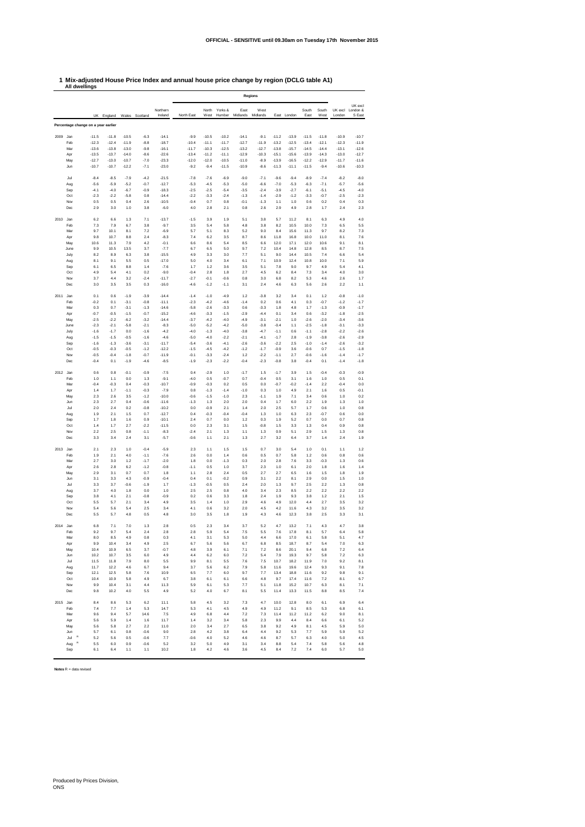## **1 Mix-adjusted House Price Index and annual house price change by region (DCLG table A1) All dwellings**

|          |                           |                                     |                    |                    |                  |                     | <b>Regions</b>     |                    |                    |                    |                    |                    |                    |                    |                    |                    |                               |
|----------|---------------------------|-------------------------------------|--------------------|--------------------|------------------|---------------------|--------------------|--------------------|--------------------|--------------------|--------------------|--------------------|--------------------|--------------------|--------------------|--------------------|-------------------------------|
|          |                           |                                     | UK England         |                    | Wales Scotland   | Northern<br>Ireland | North East         | North<br>West      | Yorks &<br>Humber  | East<br>Midlands   | West<br>Midlands   |                    | East London        | South<br>East      | South<br>West      | UK excl<br>London  | UK excl<br>London &<br>S East |
|          |                           | Percentage change on a year earlier |                    |                    |                  |                     |                    |                    |                    |                    |                    |                    |                    |                    |                    |                    |                               |
| 2009     | Jan                       | $-11.5$                             | $-11.8$            | $-10.5$            | $-6.3$           | $-14.1$             | $-9.9$             | $-10.5$            | $-10.2$            | $-14.1$            | $-9.1$             | $-11.2$            | $-13.9$            | $-11.5$            | $-11.8$            | $-10.9$            | $-10.7$                       |
|          | Feb                       | $-12.3$                             | $-12.4$            | $-11.9$            | $-8.8$           | $-18.7$             | $-10.4$            | $-11.1$            | $-11.7$            | $-12.7$            | $-11.9$            | $-13.2$            | $-12.5$            | $-13.4$            | $-12.1$            | $-12.3$            | $-11.9$                       |
|          | Mar<br>Apr                | $-13.6$<br>$-13.5$                  | $-13.8$<br>$-13.7$ | $-13.0$<br>$-14.0$ | $-9.8$<br>$-8.6$ | $-16.1$<br>$-22.6$  | $-11.7$<br>$-13.4$ | $-10.3$<br>$-11.2$ | $-12.5$<br>$-11.1$ | $-13.2$<br>$-12.9$ | $-12.7$<br>$-10.3$ | $-13.8$<br>$-15.1$ | $-15.7$<br>$-15.6$ | $-14.5$<br>$-13.9$ | $-14.4$<br>$-14.3$ | $-13.1$<br>$-13.0$ | $-12.6$<br>$-12.7$            |
|          | May                       | $-12.7$                             | $-13.0$            | $-10.7$            | $-7.0$           | $-23.3$             | $-12.0$            | $-12.0$            | $-10.5$            | $-11.0$            | $-8.9$             | $-13.9$            | $-16.5$            | $-12.2$            | $-12.9$            | $-11.7$            | $-11.6$                       |
|          | Jun                       | $-10.7$                             | $-10.7$            | $-12.2$            | $-7.1$           | $-23.0$             | $-9.2$             | $-9.4$             | $-11.5$            | $-10.9$            | $-8.6$             | $-11.3$            | $-11.1$            | $-11.5$            | $-9.4$             | $-10.6$            | $-10.3$                       |
|          | Jul                       | $-8.4$                              | $-8.5$             | $-7.9$             | $-4.2$           | $-21.5$             | $-7.8$             | $-7.6$             | $-6.9$             | $-9.0$             | $-7.1$             | $-9.6$             | $-9.4$             | $-8.9$             | $-7.4$             | $-8.2$             | $-8.0$                        |
|          | Aug                       | $-5.6$                              | $-5.9$             | $-5.2$             | $-0.7$           | $-12.7$             | $-5.3$             | $-4.5$             | $-5.3$             | $-5.0$             | $-6.6$             | $-7.0$             | $-5.3$             | $-6.3$             | $-7.1$             | $-5.7$             | $-5.6$                        |
|          | Sep                       | $-4.1$                              | $-4.0$             | $-6.7$             | $-0.9$           | $-18.3$             | $-2.5$             | $-2.5$             | $-5.4$             | $-3.5$             | $-2.4$             | $-3.9$             | $-2.7$             | $-6.1$             | $-5.1$             | $-4.5$             | $-4.0$                        |
|          | Oct<br>Nov                | $-2.3$<br>0.5                       | $-2.2$<br>0.5      | $-5.8$<br>0.4      | 0.8<br>2.6       | $-14.4$<br>$-10.5$  | $-2.2$<br>$-0.4$   | $-3.3$<br>0.7      | $-2.4$<br>0.8      | $-1.3$<br>$-0.1$   | $-1.4$<br>$-1.3$   | $-2.9$<br>1.1      | $-1.2$<br>1.0      | $-3.3$<br>0.6      | $-0.7$<br>0.2      | $-2.5$<br>0.4      | $-2.3$<br>0.3                 |
|          | Dec                       | 2.9                                 | 3.0                | 1.0                | 3.8              | $-6.0$              | 4.0                | 2.8                | 2.1                | 0.8                | 2.6                | 2.9                | 4.9                | 2.8                | 1.7                | 2.4                | 2.3                           |
|          |                           |                                     |                    |                    |                  |                     |                    |                    |                    |                    |                    |                    |                    |                    |                    |                    |                               |
| 2010 Jan | Feb                       | 6.2<br>7.3                          | 6.6<br>7.9         | 1.3<br>6.7         | 7.1<br>3.8       | $-13.7$<br>$-9.7$   | $-1.5$<br>3.5      | 3.9<br>5.4         | 1.9<br>5.8         | 5.1<br>4.8         | 3.8<br>3.8         | 5.7<br>8.2         | 11.2<br>10.5       | 8.1<br>10.0        | 6.3<br>7.3         | 4.9<br>6.5         | 4.0<br>5.5                    |
|          | Mar                       | 9.7                                 | 10.1               | 8.1                | 7.2              | $-6.9$              | 5.7                | 5.1                | 8.3                | 5.2                | 9.0                | 8.4                | 15.6               | 11.3               | 9.7                | 8.2                | 7.3                           |
|          | Apr                       | 9.8                                 | 10.7               | 8.8                | 2.4              | $-8.3$              | 7.4                | 6.2                | 3.5                | 8.7                | 8.6                | 11.8               | 16.8               | 10.0               | 11.0               | 8.1                | 7.6                           |
|          | May                       | 10.6                                | 11.3               | 7.9                | 4.2              | $-0.1$              | 6.6                | 8.6                | 5.4                | 8.5                | 6.6                | 12.0               | 17.1               | 12.0               | 10.6               | 9.1                | 8.1                           |
|          | June<br>July              | 9.9<br>8.2                          | 10.5<br>8.9        | 13.5<br>6.3        | 3.7<br>3.8       | $-7.7$<br>$-15.5$   | 6.7<br>4.9         | 6.5<br>3.3         | 5.0<br>3.0         | 9.7<br>7.7         | 7.2<br>5.1         | 10.4<br>9.0        | 14.8<br>14.4       | 12.8<br>10.5       | 8.5<br>7.4         | 8.7<br>6.6         | 7.5<br>5.4                    |
|          | Aug                       | 8.1                                 | 9.1                | 5.5                | 0.5              | $-17.0$             | 5.0                | 4.0                | 3.4                | 6.1                | 7.1                | 10.9               | 12.4               | 10.8               | 10.0               | 7.1                | 5.9                           |
|          | Sep                       | 6.1                                 | 6.5                | 8.8                | 1.4              | $-7.6$              | 1.7                | 1.2                | 3.6                | 3.5                | 5.1                | 7.8                | 9.0                | 9.7                | 4.9                | 5.4                | 4.1                           |
|          | Oct<br>Nov                | 4.9<br>3.7                          | 5.4<br>4.4         | 4.1<br>3.2         | 0.2<br>$-2.4$    | $-9.0$<br>$-11.7$   | $-0.4$<br>$-2.7$   | 2.8<br>$-0.1$      | 1.8<br>$-0.6$      | 2.7<br>0.8         | 4.5<br>3.0         | 6.2<br>6.8         | 8.4<br>8.2         | 7.3<br>5.3         | 3.4<br>4.6         | 4.0<br>2.6         | 3.0<br>1.7                    |
|          | Dec                       | 3.0                                 | 3.5                | 3.5                | 0.3              | $-16.0$             | $-4.6$             | $-1.2$             | $-1.1$             | 3.1                | 2.4                | 4.6                | 6.3                | 5.6                | 2.6                | 2.2                | 1.1                           |
|          |                           |                                     |                    |                    |                  |                     |                    |                    |                    |                    |                    |                    |                    |                    |                    |                    |                               |
| 2011     | Jan<br>Feb                | 0.1<br>$-0.2$                       | 0.6<br>0.1         | $-1.9$<br>$-3.1$   | $-3.9$<br>$-0.8$ | $-14.4$<br>$-11.1$  | $-1.4$<br>$-2.3$   | $-1.0$<br>$-4.2$   | $-4.9$<br>$-4.6$   | 1.2<br>$-1.4$      | $-3.8$<br>0.2      | 3.2<br>0.6         | 3.4<br>4.1         | 0.1<br>0.3         | $1.2$<br>$-0.7$    | $-0.8$<br>$-1.2$   | $-1.0$<br>$-1.7$              |
|          | Mar                       | 0.3                                 | 0.7                | $-3.1$             | $-1.3$           | $-14.6$             | $-5.8$             | $-2.6$             | $-3.3$             | 0.6                | $-3.3$             | 1.8                | 4.8                | 1.7                | $-1.3$             | $-0.9$             | $-1.7$                        |
|          | Apr                       | $-0.7$                              | $-0.5$             | $-1.5$             | $-0.7$           | $-15.2$             | $-4.6$             | $-3.3$             | $-1.5$             | $-2.9$             | $-4.4$             | 0.1                | 3.4                | 0.6                | $-3.2$             | $-1.8$             | $-2.5$                        |
|          | May                       | $-2.5$                              | $-2.2$             | $-6.2$             | $-3.2$           | $-14.4$             | $-3.7$             | $-4.2$             | $-4.0$             | $-4.9$             | $-3.1$             | $-2.1$             | 1.0                | $-2.6$             | $-2.0$             | $-3.4$             | $-3.6$                        |
|          | June<br>July              | $-2.3$<br>$-1.6$                    | $-2.1$<br>$-1.7$   | $-5.8$<br>0.0      | $-2.1$<br>$-1.6$ | $-8.3$<br>$-4.2$    | $-5.0$<br>$-4.0$   | $-5.2$<br>$-1.3$   | $-4.2$<br>$-4.0$   | $-5.0$<br>$-3.8$   | $-3.8$<br>$-4.7$   | $-0.4$<br>$-1.1$   | 1.1<br>0.6         | $-2.5$<br>$-1.1$   | $-1.8$<br>$-2.8$   | $-3.1$<br>$-2.2$   | $-3.3$<br>$-2.6$              |
|          | Aug                       | $-1.5$                              | $-1.5$             | $-0.5$             | $-1.6$           | $-4.6$              | $-5.0$             | $-4.0$             | $-2.2$             | $-2.1$             | $-4.1$             | $-1.7$             | 2.8                | $-1.9$             | $-3.8$             | $-2.6$             | $-2.9$                        |
|          | Sep                       | $-1.6$                              | $-1.3$             | $-3.6$             | $-3.1$           | $-11.7$             | $-5.4$             | $-3.6$             | $-4.1$             | $-2.6$             | $-3.6$             | $-2.2$             | 2.5                | $-1.0$             | $-1.4$             | $-2.6$             | $-3.2$                        |
|          | Oct<br>Nov                | $-0.5$<br>$-0.5$                    | $-0.3$<br>$-0.4$   | $-0.5$<br>$-1.8$   | $-1.2$<br>$-0.7$ | $-12.2$<br>$-11.9$  | $-1.5$<br>$-0.1$   | $-4.5$<br>$-3.3$   | $-4.2$<br>$-2.4$   | $-1.2$<br>1.2      | $-1.7$<br>$-2.2$   | $-0.9$<br>$-1.1$   | 3.6<br>2.7         | $-0.6$<br>$-0.6$   | 0.7<br>$-1.6$      | $-1.5$<br>$-1.4$   | $-1.8$<br>$-1.7$              |
|          | Dec                       | $-0.4$                              | 0.1                | $-1.9$             | $-4.6$           | $-8.5$              | $-1.9$             | $-2.3$             | $-2.2$             | $-0.4$             | $-2.3$             | $-0.8$             | 3.8                | $-0.4$             | 0.1                | $-1.4$             | $-1.8$                        |
|          |                           |                                     |                    |                    |                  |                     |                    |                    |                    |                    |                    |                    |                    |                    |                    |                    |                               |
| 2012 Jan |                           | 0.6                                 | 0.8                | $-0.1$             | $-0.9$           | $-7.5$              | 0.4                | $-2.9$             | 1.0                | $-1.7$             | 1.5                | $-1.7$             | 3.9                | 1.5                | $-0.4$             | $-0.3$             | $-0.9$                        |
|          | Feb<br>Mar                | 1.0<br>$-0.4$                       | 1.1<br>$-0.3$      | 0.0<br>0.4         | 1.3<br>$-0.3$    | $-9.1$<br>$-10.7$   | $-4.0$<br>$-0.9$   | 0.5<br>$-0.3$      | $-0.7$<br>0.2      | 0.7<br>0.5         | $-0.4$<br>0.0      | 0.5<br>$-0.7$      | 3.1<br>$-0.2$      | 1.6<br>$-1.4$      | 1.0<br>2.2         | 0.5<br>$-0.4$      | 0.1<br>0.0                    |
|          | Apr                       | 1.4                                 | 1.7                | $-1.1$             | $-0.3$           | $-7.9$              | 0.8                | $-1.3$             | $-1.4$             | $-1.0$             | 0.3                | 1.0                | 4.9                | 2.1                | 1.6                | 0.5                | $-0.1$                        |
|          | May                       | 2.3                                 | 2.6                | 3.5                | $-1.2$           | $-10.0$             | $-0.6$             | $-1.5$             | $-1.0$             | 2.3                | $-1.1$             | 1.9                | 7.1                | 3.4                | 0.6                | 1.0                | 0.2                           |
|          | Jun<br>Jul                | 2.3<br>2.0                          | 2.7<br>2.4         | 0.4<br>0.2         | $-0.6$<br>$-0.8$ | $-11.6$<br>$-10.2$  | $-1.3$<br>0.0      | 1.3<br>$-0.9$      | 2.0<br>2.1         | 2.0<br>1.4         | 0.4<br>2.0         | 1.7<br>2.5         | 6.0<br>5.7         | 2.2<br>1.7         | 1.9<br>0.6         | 1.3<br>1.0         | 1.0<br>0.8                    |
|          | Aug                       | 1.9                                 | 2.1                | 1.5                | 0.7              | $-12.7$             | 0.4                | $-0.3$             | $-0.4$             | $-0.4$             | 1.3                | 1.0                | 6.3                | 2.3                | $-0.7$             | 0.6                | 0.0                           |
|          | Sep                       | 1.7                                 | 1.8                | 1.6                | 0.9              | $-10.1$             | 2.4                | 0.7                | 0.0                | 1.2                | 0.3                | 1.9                | 5.2                | 0.7                | 0.0                | 0.7                | 0.8                           |
|          | Oct                       | 1.4                                 | 1.7                | 2.7                | $-2.2$           | $-11.5$             | 0.0                | 2.3                | 3.1                | 1.5                | $-0.8$             | 1.5                | 3.3                | 1.3                | 0.4                | 0.9                | 0.8                           |
|          | Nov<br>Dec                | 2.2<br>3.3                          | 2.5<br>3.4         | 0.8<br>2.4         | $-1.1$<br>3.1    | $-8.3$<br>$-5.7$    | $-2.4$<br>$-0.6$   | 2.1<br>1.1         | 1.3<br>2.1         | 1.1<br>1.3         | 1.3<br>2.7         | 0.9<br>3.2         | 5.1<br>6.4         | 2.9<br>3.7         | 1.5<br>1.4         | 1.3<br>2.4         | 0.8<br>1.9                    |
|          |                           |                                     |                    |                    |                  |                     |                    |                    |                    |                    |                    |                    |                    |                    |                    |                    |                               |
| 2013 Jan |                           | 2.1                                 | 2.3                | 1.0                | $-0.4$           | $-5.9$              | 2.3                | 1.1                | 1.5                | 1.5                | 0.7                | 3.0                | 5.4                | 1.0                | 0.1                | 1.1                | 1.2                           |
|          | Feb<br>Mar                | 1.9<br>2.7                          | 2.1<br>3.0         | 4.0<br>1.2         | $-1.1$<br>$-1.7$ | $-7.6$<br>$-2.0$    | 2.6<br>1.8         | 0.0<br>0.0         | 1.4<br>$-1.3$      | 0.6<br>0.3         | 0.5<br>2.0         | 0.7<br>2.8         | 5.8<br>7.6         | 1.2<br>3.3         | 0.6<br>$-0.3$      | 0.8<br>1.3         | 0.6<br>0.6                    |
|          | Apr                       | 2.6                                 | 2.8                | 6.2                | $-1.2$           | $-0.8$              | $-1.1$             | 0.5                | 1.0                | 3.7                | 2.3                | 1.0                | 6.1                | 2.0                | 1.8                | 1.6                | 1.4                           |
|          | May                       | 2.9                                 | 3.1                | 0.7                | 0.7              | 1.8                 | 1.1                | 2.8                | 2.4                | 0.5                | 2.7                | 2.7                | 6.5                | 1.6                | 1.5                | 1.8                | 1.9                           |
|          | Jun<br>Jul                | 3.1<br>3.3                          | 3.3<br>3.7         | 4.3<br>$-0.6$      | $-0.9$<br>$-1.9$ | $-0.4$<br>1.7       | 0.4<br>$-1.3$      | 0.1<br>$-0.5$      | $-0.2$<br>0.5      | 0.9<br>2.4         | 3.1<br>2.0         | 2.2<br>1.3         | 8.1<br>9.7         | 2.9<br>2.5         | 0.0<br>2.2         | 1.5<br>1.3         | 1.0<br>0.8                    |
|          | Aug                       | 3.7                                 | 4.0                | 1.8                | 0.0              | 1.0                 | 2.5                | 2.5                | 0.8                | 4.0                | 3.4                | 2.3                | 8.5                | 2.2                | 2.2                | 2.2                | 2.2                           |
|          | Sep                       | 3.8                                 | 4.1                | 2.1                | $-0.8$           | $-0.9$              | 0.2                | 0.6                | 3.3                | 1.8                | 2.4                | 1.9                | 9.3                | 3.8                | $1.2$              | 2.1                | 1.5                           |
|          | Oct                       | 5.5                                 | 5.7                | 2.1                | 3.4              | 4.9                 | 3.5                | 1.4                | 1.0                | 2.9                | 4.6                | 4.9                | 12.0               | 4.4                | 2.7                | 3.5                | 3.2                           |
|          | Nov<br>Dec                | 5.4<br>5.5                          | 5.6<br>5.7         | 5.4<br>4.8         | 2.5<br>0.5       | 3.4<br>4.8          | 4.1<br>3.0         | 0.6<br>3.5         | 3.2<br>1.8         | 2.0<br>1.9         | 4.5<br>4.3         | 4.2<br>4.6         | 11.6<br>12.3       | 4.3<br>3.8         | 3.2<br>2.5         | 3.5<br>3.3         | 3.2<br>3.1                    |
|          |                           |                                     |                    |                    |                  |                     |                    |                    |                    |                    |                    |                    |                    |                    |                    |                    |                               |
| 2014     | Jan                       | 6.8                                 | 7.1                | 7.0                | 1.3              | 2.8                 | 0.5                | 2.3                | 3.4                | 3.7                | 5.2                | 4.7                | 13.2               | 7.1                | 4.3                | 4.7                | 3.8                           |
|          | Feb<br>Mar                | 9.2<br>8.0                          | 9.7<br>8.5         | 5.4<br>4.9         | 2.4<br>0.8       | 2.8<br>0.3          | 2.8<br>4.1         | 5.9<br>3.1         | 5.4<br>5.3         | 7.5<br>5.0         | 5.5<br>4.4         | 7.6<br>6.6         | 17.8<br>17.0       | 8.1<br>6.1         | 5<br>5.8           | 6.4<br>5.1         | 5.8<br>4.7                    |
|          | Apr                       | 9.9                                 | 10.4               | 3.4                | 4.9              | 2.5                 | 6.7                | 5.6                | 5.6                | 6.7                | 6.8                | 8.5                | 18.7               | 8.7                | 5.4                | 7.0                | 6.3                           |
|          | May                       | 10.4                                | 10.9               | 6.5                | 3.7              | $-0.7$              | 4.8                | 3.9                | 6.1                | 7.1                | 7.2                | 8.6                | 20.1               | 9.4                | 6.8                | 7.2                | 6.4                           |
|          | Jun                       | 10.2                                | 10.7               | 3.5                | 6.0              | 4.9                 | 4.4                | 6.2                | 6.0                | 7.2                | 5.4                | 7.9                | 19.3               | 9.7                | 5.8                | 7.2<br>9.2         | 6.3                           |
|          | Jul<br>Aug                | 11.5<br>11.7                        | 11.8<br>12.2       | 7.9<br>4.6         | 8.0<br>6.7       | 5.5<br>9.4          | 9.9<br>3.7         | 8.1<br>5.6         | 5.5<br>6.2         | 7.6<br>7.9         | 7.5<br>5.8         | 10.7<br>11.6       | 18.2<br>19.6       | 11.9<br>12.4       | 7.0<br>9.3         | 9.1                | 8.1<br>7.8                    |
|          | Sep                       | 12.1                                | 12.5               | 5.8                | 7.6              | 10.9                | 6.5                | 7.7                | 6.0                | 9.7                | 7.7                | 13.4               | 18.8               | 11.6               | 9.2                | 9.8                | 9.1                           |
|          | Oct                       | 10.4                                | 10.9               | 5.8                | 4.9              | 6.7                 | 3.8                | 6.1                | 6.1                | 6.6                | 4.8                | 9.7                | 17.4               | 11.6               | 7.2                | 8.1                | 6.7                           |
|          | Nov<br>Dec                | 9.9<br>9.8                          | 10.4<br>10.2       | 3.1<br>4.0         | 4.4<br>5.5       | 11.3<br>4.9         | 5.9<br>5.2         | 6.1<br>4.0         | 5.3<br>6.7         | 7.7<br>8.1         | 5.1<br>5.5         | 11.8<br>11.4       | 15.2<br>13.3       | 10.7<br>11.5       | 6.3<br>8.8         | 8.1<br>8.5         | 7.1<br>7.4                    |
|          |                           |                                     |                    |                    |                  |                     |                    |                    |                    |                    |                    |                    |                    |                    |                    |                    |                               |
| 2015 Jan |                           | 8.4                                 | 8.6                | 5.3                | 6.2              | 11.1                | 5.8                | 4.5                | 3.2                | 7.3                | 4.7                | 10.0               | 12.8               | 8.0                | 6.1                | 6.9                | 6.4                           |
|          | Feb<br>Mar                | 7.4<br>9.6                          | 7.7<br>9.4         | 1.4<br>5.7         | 5.3<br>14.6      | 14.7<br>7.5         | 5.3<br>4.9         | 4.1<br>6.8         | 4.5<br>4.4         | 4.9<br>7.2         | 4.9<br>7.3         | 11.2<br>11.4       | 9.1<br>11.2        | 8.5<br>11.2        | 5.3<br>6.2         | 6.8<br>9.0         | 6.1<br>8.1                    |
|          | Apr                       | 5.6                                 | 5.9                | 1.4                | 1.6              | 11.7                | 1.4                | 3.2                | 3.4                | 5.8                | 2.3                | 9.9                | 4.4                | 8.4                | 6.6                | 6.1                | 5.2                           |
|          | May                       | 5.6                                 | 5.8                | 2.7                | 2.2              | 11.0                | 2.0                | 3.4                | 2.7                | 6.5                | 3.8                | 9.2                | 4.9                | 8.1                | 4.5                | 5.9                | 5.0                           |
|          | Jun<br>$\mathbb R$<br>Jul | 5.7<br>5.2                          | 6.1<br>5.6         | 0.8<br>0.5         | $-0.6$<br>$-0.6$ | 9.0<br>7.7          | 2.8<br>$-0.6$      | 4.2<br>4.0         | 3.8<br>5.2         | 6.4<br>4.6         | 4.4<br>4.6         | 9.2<br>8.7         | 5.3<br>5.7         | 7.7<br>6.3         | 5.9<br>4.0         | 5.9<br>5.0         | 5.2<br>4.5                    |
|          | $\mathbb R$<br>Aug        | 5.5                                 | 6.0                | 0.9                | $-0.6$           | 5.2                 | 3.2                | 5.0                | 4.9                | 3.1                | 3.4                | 8.8                | 5.4                | 7.4                | 5.8                | 5.6                | 4.8                           |
|          | Sep                       | 6.1                                 | 6.4                | 1.1                | 1.1              | 10.2                | 1.8                | 4.2                | 4.6                | 3.6                | 4.5                | 8.4                | 7.2                | 7.4                | 6.0                | 5.7                | 5.0                           |

**Notes** R = data revised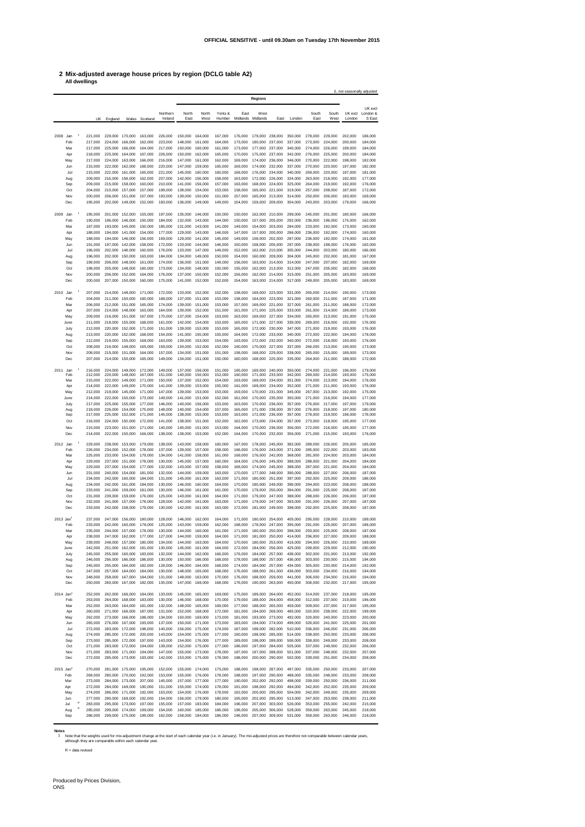## **2 Mix-adjusted average house prices by region (DCLG table A2) All dwellings**

|                         |             |                    |                            |                                                    |                    |                    |                                    |                    |                    |                    |                                                    |                    |                    |                                    |                    | £, not seasonally adjusted |                    |
|-------------------------|-------------|--------------------|----------------------------|----------------------------------------------------|--------------------|--------------------|------------------------------------|--------------------|--------------------|--------------------|----------------------------------------------------|--------------------|--------------------|------------------------------------|--------------------|----------------------------|--------------------|
|                         |             |                    |                            |                                                    |                    |                    |                                    |                    |                    |                    | Regions                                            |                    |                    |                                    |                    |                            |                    |
|                         |             |                    |                            |                                                    |                    | Northern           | North                              | North              | Yorks &            | East               | West                                               |                    |                    | South                              | South              | UK excl                    | UK excl            |
|                         |             | UK                 | England                    | Wales                                              | Scotland           | Ireland            | East                               | West               | Humber             | Midlands           | Midlands                                           | Fast               | I ondon            | East                               | West               | London                     | London &<br>S East |
|                         |             |                    |                            |                                                    |                    |                    |                                    |                    |                    |                    |                                                    |                    |                    |                                    |                    |                            |                    |
| 2008 Jan                |             | 221,000            |                            | 229,000 170,000                                    | 163,000            | 226,000            | 150,000                            | 164,000            | 167,000            | 176,000            | 179,000 238,000                                    |                    | 350,000            | 278,000                            | 229,000            | 202,000                    | 186,000            |
|                         | Feb<br>Mar  | 217,000<br>217,000 | 224,000<br>225,000         | 166,000<br>166,000                                 | 162,000<br>164,000 | 223,000<br>217,000 | 148,000<br>150,000                 | 161,000<br>160,000 | 164,000<br>161,000 | 173,000<br>173,000 | 180,000<br>177,000                                 | 237,000<br>237,000 | 337,000<br>340,000 | 273,000<br>274,000                 | 224,000<br>226,000 | 200,000<br>199,000         | 184,000<br>184,000 |
|                         | Apr         | 218,000            | 225,000                    | 164,000                                            | 167.000            | 226,000            | 150,000                            | 162,000            | 165,000            | 170,000            | 175,000                                            | 237,000            | 342.000            | 276,000                            | 225,000            | 200,000                    | 184,000            |
|                         | May         | 217,000            | 224.000<br>222.000         | 163,000<br>162,000                                 | 166,000<br>168,000 | 216,000            | 147,000                            | 161,000            | 162,000            | 169,000<br>169,000 | 174,000                                            | 236,000            | 346,000            | 270,000                            | 222,000            | 198,000                    | 182,000            |
|                         | Jun<br>Jul  | 215,000<br>215,000 | 222.000                    | 161.000                                            | 165,000            | 220,000<br>221.000 | 147,000<br>145,000                 | 159,000<br>160,000 | 165,000<br>160,000 | 168,000            | 174,000<br>176,000                                 | 232,000<br>234,000 | 337,000<br>340,000 | 270,000<br>269,000                 | 220,000<br>220,000 | 197,000<br>197.000         | 182,000<br>181.000 |
|                         | Aug         | 209,000            | 216,000                    | 158,000                                            | 162.000            | 207.000            | 142,000                            | 156,000            | 158,000            | 163,000            | 172,000                                            | 226,000            | 324,000            | 263.000                            | 218,000            | 192.000                    | 177,000            |
|                         | Sep<br>Oct  | 209,000<br>204,000 | 215,000<br>210,000         | 158,000<br>157,000                                 | 160,000<br>157,000 | 210,000<br>199,000 | 141,000<br>138,000                 | 156,000<br>154,000 | 157,000<br>153,000 | 163,000<br>158,000 | 168,000<br>165,000                                 | 224,000<br>221.000 | 325,000<br>319,000 | 264,000<br>257,000                 | 219,000<br>208,000 | 192,000<br>187,000         | 176,000<br>172,000 |
|                         | Nov         | 200,000            | 206,000                    | 151,000                                            | 157,000            | 193,000            | 139,000                            | 150,000            | 151,000            | 157,000            | 165,000                                            | 213,000            | 314,000            | 250,000                            | 206,000            | 183,000                    | 169,000            |
|                         | Dec         | 195,000            | 202.000                    | 149,000                                            | 152,000            | 183,000            | 136,000                            | 149,000            | 149,000            | 154,000            | 159,000                                            | 209,000            | 304,000            | 243,000                            | 203,000            | 179,000                    | 166,000            |
| 2009                    | Jan         | 195,000            | 201,000                    | 152,000                                            | 155,000            | 197,000            | 135,000                            | 146,000            | 150,000            | 150,000            | 162,000                                            | 210,000            | 299,000            | 245,000                            | 201,000            | 180,000                    | 166,000            |
|                         | Feb         | 190,000            | 196,000                    | 146,000                                            | 150,000            | 184,000            | 132,000                            | 143,000            | 144,000            | 150,000            | 157,000                                            | 205,000            | 292,000            | 236,000                            | 196,000            | 175,000                    | 162,000            |
|                         | Mar<br>Apr  | 187.000<br>188,000 | 193,000<br>194.000         | 145,000<br>141,000                                 | 150,000<br>154,000 | 185,000<br>177,000 | 131,000<br>129,000                 | 143,000<br>143,000 | 141.000<br>146,000 | 149,000<br>147,000 | 154,000<br>157,000                                 | 203,000<br>200,000 | 284.000<br>286,000 | 233,000<br>236,000                 | 192,000<br>192,000 | 173,000<br>174,000         | 160,000<br>160,000 |
|                         | May         | 188,000            | 194,000                    | 146,000                                            | 156,000            | 169,000            | 129,000                            | 141,000            | 145,000            | 149,000            | 158,000                                            | 202,000            | 287,000            | 236,000                            | 192,000            | 174,000                    | 161,000            |
|                         | Jun         | 191.000            | 197,000                    | 142,000                                            | 158,000            | 172,000            | 133,000                            | 144,000            | 146,000            | 150,000            | 158,000 205,000                                    |                    | 297,000            | 238,000                            | 198,000            | 176,000                    | 163,000            |
|                         | Jul<br>Aug  | 196,000<br>196,000 | 202.000<br>202.000         | 148,000<br>150,000                                 | 160,000<br>163,000 | 176,000<br>184,000 | 133,000<br>134,000                 | 147,000<br>149,000 | 149,000<br>150,000 | 152,000<br>154,000 | 162,000 210,000<br>160,000 209,000                 |                    | 305,000<br>304.000 | 244.000<br>245,000                 | 203,000<br>202,000 | 180,000<br>181.000         | 166,000<br>167,000 |
|                         | Sep         | 199,000            | 206,000                    | 148,000                                            | 161.000            | 174,000            | 136,000                            | 151,000            | 149,000            | 156,000            | 163,000 214,000                                    |                    | 314,000            | 247.000                            | 207,000            | 182,000                    | 169,000            |
|                         | Oct<br>Nov  | 198,000<br>200,000 | 205,000<br>206.000 152.000 | 148,000                                            | 160,000<br>164,000 | 173,000<br>176,000 | 134,000<br>137,000                 | 148,000<br>150,000 | 150,000<br>152,000 | 155,000<br>156,000 | 162,000 213,000<br>162,000 214,000                 |                    | 312,000<br>315,000 | 247,000<br>251,000                 | 205,000<br>205,000 | 182,000<br>183,000         | 168,000<br>169,000 |
|                         | Dec         | 200,000            | 207,000 150,000            |                                                    | 160,000            | 175,000            | 141,000                            | 152,000            | 152,000            | 154,000            | 163,000 214,000                                    |                    | 317,000            | 249,000                            | 205,000            | 183,000                    | 169,000            |
|                         |             |                    |                            |                                                    |                    |                    |                                    |                    |                    |                    |                                                    |                    |                    |                                    |                    |                            |                    |
| 2010 Jan                | Feb         | 207,000<br>204,000 |                            | 214,000 148,000<br>211,000 150,000                 | 171,000<br>160,000 | 172,000<br>168,000 | 133,000<br>137,000                 | 152,000<br>151,000 | 152,000<br>153,000 | 158,000<br>158,000 | 169,000 223,000<br>164,000 223,000                 |                    | 331,000<br>321,000 | 265,000<br>260,000                 | 214,000<br>211,000 | 190,000<br>187,000         | 173,000<br>171,000 |
|                         | Mar         | 206,000            | 212.000 151.000            |                                                    | 165,000            | 174.000            | 139,000                            | 151,000            | 153,000            | 157,000            | 169.000 221.000                                    |                    | 327,000            | 261.000                            | 211,000            | 188,000                    | 172,000            |
|                         | Apr<br>May  | 207,000<br>209,000 |                            | 214,000 148,000<br>216,000 151,000                 | 163,000<br>167,000 | 164.000<br>170,000 | 139,000<br>137,000                 | 152,000<br>154,000 | 151,000<br>153,000 | 161,000<br>163,000 | 171,000 225,000<br>169,000 227,000                 |                    | 333,000<br>334,000 | 261,000<br>265,000                 | 214,000<br>213,000 | 189,000<br>191,000         | 173,000<br>175,000 |
|                         | June        | 211.000            | 218.000 155.000            |                                                    | 168,000            | 161.000            | 142,000                            | 154,000            | 153,000            | 165,000            | 171.000 227.000                                    |                    | 339,000            | 269,000                            | 216,000            | 192,000                    | 176,000            |
|                         | July        | 212,000            | 220.000 152.000            |                                                    | 171.000            | 151,000            | 139,000                            | 153,000            | 153,000            | 165,000            | 172,000 230,000                                    |                    | 347.000            | 271.000                            | 219,000            | 193,000                    | 176,000            |
|                         | Aug<br>Sep  | 213,000<br>212,000 | 220.000 152.000<br>219,000 | 155,000                                            | 168,000<br>168,000 | 154,000<br>163.000 | 141,000<br>139,000                 | 155,000<br>153,000 | 155,000<br>154,000 | 164,000<br>163,000 | 172.000 233.000<br>172,000 232,000                 |                    | 340,000<br>340,000 | 272.000<br>272,000                 | 222,000<br>218,000 | 194,000<br>193.000         | 178,000<br>176,000 |
|                         | Oct         | 208,000            | 216,000                    | 148,000                                            | 165,000            | 159,000            | 134.000                            | 152,000            | 152,000            | 160,000            | 170,000 227,000                                    |                    | 337,000            | 266,000                            | 213,000            | 190,000                    | 173,000            |
|                         | Nov         | 208,000<br>207,000 | 215,000 151,000            |                                                    | 164,000            | 157,000            | 134.000                            | 151,000            | 151,000<br>150,000 | 158,000<br>160,000 | 168,000 229,000                                    |                    | 338,000            | 265,000                            | 215,000            | 189,000                    | 173,000            |
|                         | Dec         |                    |                            | 214,000 150,000                                    | 165,000            | 149,000            | 134,000                            | 151,000            |                    |                    | 168,000 225,000                                    |                    | 335,000            | 264,000                            | 211,000            | 188,000                    | 172,000            |
| 2011                    | Jan<br>Feb  | 216,000<br>212,000 | 224,000<br>220,000         | 149,000<br>148,000                                 | 172,000<br>167,000 | 149,000<br>151,000 | 137,000<br>140,000                 | 156,000<br>150,000 | 151,000<br>152,000 | 165,000<br>160,000 | 169,000 240,000<br>171,000                         | 233,000            | 350,000<br>342,000 | 274,000<br>269,000                 | 221,000<br>214,000 | 196,000<br>193,000         | 179,000<br>175,000 |
|                         | Mar         | 215,000            | 222,000                    | 149,000                                            | 171,000            | 150,000            | 137,000                            | 152,000            | 154,000            | 163,000            | 169,000                                            | 234,000            | 351.000            | 274,000                            | 213,000            | 194,000                    | 176,000            |
|                         | Apr<br>May  | 214,000<br>212,000 | 222,000<br>219.000         | 149,000<br>145,000                                 | 170,000<br>171.000 | 141,000<br>147.000 | 139,000<br>139,000                 | 153,000<br>153,000 | 155,000<br>153,000 | 161,000<br>159,000 | 169,000<br>170,000 231,000                         | 234,000            | 352,000<br>345,000 | 271,000<br>267.000                 | 211,000<br>213,000 | 193,000<br>192,000         | 176,000<br>175,000 |
|                         | June        | 214,000            | 222.000                    | 150,000                                            | 173,000            | 149,000            | 141,000                            | 151,000            | 152,000            | 161.000            | 170,000 235,000                                    |                    | 350,000            | 271.000                            | 216,000            | 194,000                    | 177,000            |
|                         | July        | 217,000<br>218,000 | 225,000<br>226,000         | 155,000                                            | 177,000            | 146,000            | 140,000                            | 156,000            | 153,000            | 163,000            | 170,000 236,000                                    |                    | 357.000            | 276,000                            | 217,000            | 197.000                    | 179,000            |
|                         | Aug<br>Sep  | 217,000            | 225,000                    | 154,000<br>152,000                                 | 175,000<br>171,000 | 148,000<br>145,000 | 140,000<br>138,000                 | 154,000<br>153,000 | 157,000<br>153,000 | 165,000<br>163,000 | 171,000<br>172,000                                 | 238,000<br>236,000 | 357,000<br>357,000 | 276,000<br>278,000                 | 218,000<br>219,000 | 197,000<br>196,000         | 180,000<br>178,000 |
|                         | Oct         | 216,000            | 224,000                    | 150,000                                            | 172,000            | 141,000            | 138,000                            | 151,000            | 152,000            | 162,000            |                                                    | 173,000 234,000    | 357,000            | 273,000                            | 218,000            | 195,000                    | 177,000            |
|                         | Nov<br>Dec  | 215,000<br>214,000 | 222,000                    | 223,000 151,000<br>150,000                         | 171,000<br>166,000 | 140,000<br>138,000 | 140,000<br>138,000                 | 151,000<br>153,000 | 153,000<br>152,000 | 164,000<br>164,000 | 170,000 236,000<br>170,000 232,000                 |                    | 356,000<br>356,000 | 272,000<br>271,000                 | 216,000<br>215,000 | 195,000<br>193,000         | 177,000<br>176,000 |
|                         |             |                    |                            |                                                    |                    |                    |                                    |                    |                    |                    |                                                    |                    |                    |                                    |                    |                            |                    |
| 2012 Jan                | Feb         | 229,000<br>226,000 | 234,000                    | 238,000 153,000<br>152,000                         | 179,000<br>178,000 | 138,000<br>137,000 | 143,000<br>139,000                 | 158,000<br>157,000 | 160,000<br>158,000 | 167,000<br>166,000 | 178,000 245,000<br>176,000                         | 243,000            | 382.000<br>371,000 | 289,000<br>285,000                 | 226,000<br>222,000 | 205,000<br>203,000         | 185,000<br>183,000 |
|                         | Mar         | 225,000            | 233,000                    | 154,000                                            | 179,000            | 134,000            | 141,000                            | 158,000            | 161,000            | 169,000            | 176,000                                            | 242,000            | 368,000            | 281,000                            | 224,000            | 203,000                    | 184,000            |
|                         | Apr<br>May  | 229,000<br>229,000 | 237.000<br>237.000         | 151,000<br>154,000                                 | 178,000<br>177,000 | 130,000<br>132.000 | 145,000<br>143,000                 | 157,000<br>157,000 | 160,000<br>158,000 | 164,000<br>168,000 | 176,000<br>174,000                                 | 245,000<br>245,000 | 388,000<br>388,000 | 288,000<br>287,000                 | 221,000<br>221.000 | 204.000<br>204.000         | 184,000<br>184,000 |
|                         | Jun         | 231.000            | 240.000                    | 154,000                                            | 181,000            | 132.000            | 144.000                            | 159,000            | 163,000            | 170,000            | 177.000                                            | 248,000            | 390.000            | 288,000                            | 227,000            | 206,000                    | 187,000            |
|                         | Jul<br>Aug  | 234,000<br>234,000 | 242.000<br>242.000         | 160,000<br>161,000                                 | 184,000<br>184,000 | 131,000<br>130,000 | 145,000<br>146,000                 | 161,000<br>160,000 | 163,000<br>164,000 | 171,000<br>170,000 | 180,000<br>180,000                                 | 251,000<br>249,000 | 397,000<br>399,000 | 292,000<br>294,000                 | 225,000<br>223,000 | 209,000<br>208,000         | 188,000<br>188,000 |
|                         | Sep         | 233,000            | 241.000                    | 159,000                                            | 181.000            | 130,000            | 146,000                            | 161,000            | 161,000            | 170,000            | 179,000                                            | 250,000            | 394,000            | 291,000                            | 225,000            | 208,000                    | 187,000            |
|                         | Oct         | 231,000            | 239,000                    | 159,000                                            | 176,000            | 125,000            | 143,000                            | 161,000            | 164,000            | 171,000            | 179,000                                            | 247,000            | 388,000            | 288,000                            | 226,000            | 206,000                    | 187,000            |
|                         | Nov<br>Dec  | 232,000<br>233,000 | 241,000<br>242,000         | 157,000<br>158,000                                 | 178,000<br>179,000 | 128,000<br>130,000 | 142,000<br>142,000                 | 161,000<br>161,000 | 163,000<br>163,000 | 171,000<br>172,000 | 179,000<br>181,000                                 | 247,000<br>249,000 | 393,000<br>398,000 | 291,000<br>292,000                 | 226,000<br>225,000 | 207,000<br>208,000         | 187,000<br>187,000 |
|                         |             |                    |                            |                                                    |                    |                    |                                    |                    |                    |                    |                                                    |                    |                    |                                    |                    |                            |                    |
| 2013 Jan                | Feb         | 237,000<br>233,000 | 242,000                    | 247.000 156.000<br>160,000                         | 180,000<br>178,000 | 128,000<br>125,000 | 146,000<br>143,000                 | 162,000<br>159,000 | 164,000<br>162,000 | 171,000<br>168,000 | 180,000 254,000<br>178,000                         | 247,000            | 405,000<br>395,000 | 295,000<br>291,000                 | 228,000<br>225,000 | 210,000<br>207.000         | 189,000<br>186,000 |
|                         | Mar         | 235,000            | 244,000 157,000            |                                                    | 178,000            | 130,000            | 144,000                            | 160,000            | 161.000            | 171,000            | 180,000 250,000                                    |                    | 398,000            | 293,000                            | 225,000            | 208,000                    | 187,000            |
|                         | Apr<br>May  | 238,000<br>239,000 | 248.000 157.000            | 247.000 162.000                                    | 177,000<br>180,000 | 127,000<br>134,000 | 144,000<br>144,000                 | 159,000<br>163,000 | 164,000<br>164,000 | 171,000<br>170,000 | 181,000 250,000<br>180,000 253,000                 |                    | 414,000<br>416,000 | 296,000<br>294.000                 | 227,000<br>226,000 | 209,000<br>210,000         | 188,000<br>189,000 |
|                         | June        | 242.000            |                            | 251.000 162.000                                    | 181,000            | 130,000            | 145,000                            | 161,000            | 164,000            | 172,000            | 184,000 256,000                                    |                    | 425,000            | 299,000                            | 229,000            | 212,000                    | 190,000            |
|                         | July<br>Aug | 245,000<br>246,000 |                            | 255,000 160,000<br>256,000 166,000                 | 183,000<br>186,000 | 132,000<br>130,000 | 144,000<br>150,000                 | 162,000<br>166,000 | 166,000<br>168,000 | 176,000<br>178,000 | 184,000 257,000                                    | 188,000 257,000    | 438,000<br>436,000 | 302,000<br>303,000                 | 231,000<br>230,000 | 213,000<br>215,000         | 192,000<br>194,000 |
|                         | Sep         | 245,000            |                            | 255,000 164,000                                    | 182,000            | 128,000            | 146,000                            | 164,000            | 168,000            | 174,000            |                                                    | 184,000 257,000    | 434,000            | 305,000                            | 230,000            | 214,000                    | 192,000            |
|                         | Oct<br>Nov  | 247,000<br>248,000 |                            | 257.000 164.000<br>258,000 167,000                 | 184,000<br>184,000 | 130,000<br>131,000 | 148,000<br>148,000                 | 165,000<br>163,000 | 168,000<br>170,000 | 176,000<br>176,000 | 188,000 261,000<br>188,000 259,000                 |                    | 436,000<br>441,000 | 303,000<br>306,000                 | 234,000<br>234,000 | 216,000<br>216,000         | 194,000<br>194,000 |
|                         | Dec         | 250,000            |                            | 260,000 167,000                                    | 182,000            | 135,000            | 147,000                            | 168,000            | 168,000            | 176,000            | 190,000 263,000                                    |                    | 450,000            |                                    | 306,000 232,000    | 217,000                    | 195,000            |
| $2014$ Jan <sup>1</sup> |             |                    |                            |                                                    |                    |                    |                                    |                    | 169,000            |                    |                                                    |                    |                    |                                    |                    |                            | 195,000            |
|                         | Feb         | 252,000<br>253,000 |                            | 262,000 166,000 184,000<br>264,000 168,000         | 183,000            | 133,000<br>130,000 | 145,000 165,000<br>146,000         | 168,000            | 170,000            | 175,000<br>179,000 | 189,000 264,000<br>188,000 264,000                 |                    | 452,000<br>458,000 | 314,000 237,000<br>312,000 237,000 |                    | 218,000<br>219,000         | 196,000            |
|                         | Mar         | 252,000            |                            | 263,000 164,000                                    | 181,000            | 132.000            | 148,000 165,000                    |                    | 169,000            | 177,000            | 188,000 265,000                                    |                    | 459,000            | 320,000 238,000                    | 309,000 237,000    | 217,000                    | 195,000<br>199,000 |
|                         | Apr<br>May  | 260,000<br>262,000 |                            | 271,000 166,000 187,000<br>273,000 166,000 188,000 |                    | 131,000<br>134,000 | 152,000 168,000<br>150,000 169,000 |                    | 172,000<br>173,000 | 181,000<br>181,000 | 194,000 269,000<br>193,000 273,000                 |                    | 485,000<br>492,000 | 320,000 240,000                    |                    | 222,000<br>223,000         | 200,000            |
|                         | Jun         | 265,000            |                            | 276,000 167,000 193,000                            |                    | 137,000            | 150,000 171,000                    |                    | 173,000            | 183,000            | 194,000 274,000                                    |                    | 499,000            | 326,000 241,000                    |                    | 225,000                    | 201,000            |
|                         | Jul<br>Aug  | 272,000<br>274,000 |                            | 283,000 172,000 198,000<br>285,000 172,000 200,000 |                    | 140,000<br>143,000 | 156,000 175,000<br>154,000 175,000 |                    | 174,000<br>177,000 | 187,000<br>190,000 | 198,000 282,000<br>198,000 285,000                 |                    | 510,000<br>514,000 | 336,000 246,000<br>338,000 250,000 |                    | 231,000<br>233,000         | 206,000<br>208,000 |
|                         | Sep         | 273,000            |                            | 285,000 172,000 197,000                            |                    | 143,000            | 154,000 176,000                    |                    | 177,000            | 189,000            | 198,000 289,000                                    |                    | 508,000            | 338,000 249,000                    |                    | 233,000                    | 208,000            |
|                         | Oct<br>Nov  | 271.000<br>271,000 |                            | 283,000 172,000 194,000<br>283,000 171,000 194,000 |                    | 139,000<br>147,000 | 152,000 175,000<br>155,000 173,000 |                    | 177,000<br>178,000 |                    | 186,000 197,000 284,000<br>187,000 197,000 288,000 |                    | 505,000<br>501,000 | 337,000 248,000                    | 337,000 249,000    | 232,000<br>232,000         | 206,000<br>207,000 |
|                         | Dec         | 272,000            |                            | 285,000 173,000 193,000                            |                    | 142,000            | 153,000                            | 175,000            | 178,000            | 188,000            | 200,000 290,000                                    |                    | 502,000            | 339,000                            | 251,000            | 234,000                    | 208,000            |
| $2015$ Jan <sup>1</sup> |             |                    |                            |                                                    |                    |                    |                                    |                    |                    |                    |                                                    |                    |                    |                                    |                    |                            |                    |
|                         | Feb         | 270,000<br>269,000 |                            | 281,000 175,000 195,000<br>280,000 170,000 192,000 |                    | 152,000<br>153,000 | 155,000 174,000<br>155,000 176,000 |                    | 175,000<br>178,000 | 188,000<br>188,000 | 198,000 287,000<br>197,000 290,000                 |                    | 497,000<br>488,000 | 335.000 250.000<br>335.000 248.000 |                    | 233,000<br>233,000         | 207,000<br>208,000 |
|                         | Mar         | 273,000            |                            | 284,000 173,000                                    | 207.000            | 145,000            | 157,000                            | 177,000            | 177,000            | 190,000            | 202,000 292,000                                    |                    | 498,000            | 339,000                            | 250,000            | 236,000                    | 211.000            |
|                         | Apr<br>May  | 272,000<br>274.000 |                            | 284.000 169.000<br>286.000 171.000                 | 190,000<br>192,000 | 151.000<br>153,000 | 155,000 174,000<br>154,000         | 176,000            | 178,000<br>178,000 | 191,000<br>192,000 | 198,000 292,000<br>200.000 295.000                 |                    | 494.000<br>504,000 | 342,000<br>342,000                 | 252,000<br>249,000 | 235,000<br>235,000         | 209,000<br>209,000 |
|                         | Jun         | 277,000            |                            | 290,000 169,000                                    | 192,000            | 154,000            | 156,000                            | 179,000            | 180,000            | 195,000            | 202,000 295,000                                    |                    | 513,000            | 347,000                            | 253,000            | 238,000                    | 211,000            |
|                         | Jul<br>Aug  | 283,000<br>285,000 |                            | 295,000 173,000<br>299,000 174,000                 | 197,000<br>199,000 | 155,000<br>154,000 | 157,000<br>160,000                 | 183,000<br>185,000 | 184,000<br>186,000 | 196,000<br>196,000 | 207,000 303,000<br>205,000 306,000                 |                    | 526,000<br>528,000 | 353,000<br>359,000                 | 255,000<br>263,000 | 242,000<br>245,000         | 215,000<br>218,000 |
|                         | Sep         | 286,000            |                            | 299,000 175,000                                    | 199,000            | 162,000            | 158,000                            | 184,000            | 186,000            | 196,000            | 207,000 309,000                                    |                    | 531,000            | 359,000                            | 263,000            | 246,000                    | 218,000            |

Notes<br>1 Note that the weights used for mix-adjustment change at the start of each calendar year (i.e. in January). The mix-adjusted prices are therefore not comparable between calendar years,<br>although they are comparable w

R = data revised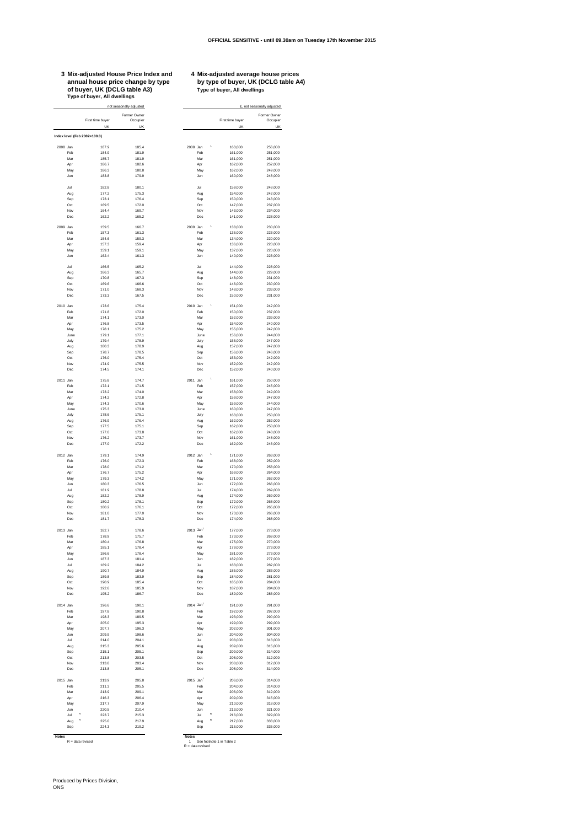## **3 Mix-adjusted House Price Index and 4 Mix-adjusted average house prices of buyer, UK (DCLG table A3) Type of buyer, All dwellings Type of buyer, All dwellings**

## **4 Mix-adjusted average house prices<br>by type of buyer, UK (DCLG table A4)**<br>Type of buyer, All dwellings

|          |                              |                        | Former Owner<br>Occupier |                           |                        | Former Owner<br>Occupier |
|----------|------------------------------|------------------------|--------------------------|---------------------------|------------------------|--------------------------|
|          |                              | First time buyer<br>UK | UK                       |                           | First time buyer<br>UK | UK                       |
|          | Index level (Feb 2002=100.0) |                        |                          |                           |                        |                          |
|          |                              |                        |                          |                           |                        |                          |
| 2008 Jan | Feb                          | 187.9<br>184.9         | 185.4<br>181.9           | 2008 Jan<br>Feb           | 163,000<br>161,000     | 256,000<br>251,000       |
|          | Mar                          | 185.7                  | 181.9                    | Mar                       | 161.000                | 251.000                  |
|          | Apr                          | 186.7<br>186.3         | 182.6                    | Apr                       | 162,000                | 252,000                  |
|          | May<br>Jun                   | 183.8                  | 180.8<br>179.9           | May<br>Jun                | 162,000<br>160,000     | 249,000<br>248,000       |
|          |                              |                        |                          |                           |                        |                          |
|          | Jul                          | 182.8                  | 180.1                    | Jul                       | 159,000                | 248,000                  |
|          | Aug<br>Sep                   | 177.2<br>173.1         | 175.3<br>176.4           | Aug<br>Sep                | 154,000<br>150,000     | 242,000<br>243,000       |
|          | Oct                          | 169.5                  | 172.0                    | Oct                       | 147,000                | 237,000                  |
|          | Nov                          | 164.4                  | 169.7                    | Nov                       | 143,000                | 234,000                  |
|          | Dec                          | 162.2                  | 165.2                    | Dec                       | 141,000                | 228,000                  |
| 2009 Jan |                              | 159.5                  | 166.7                    | 2009 Jan                  | 138,000                | 230,000                  |
|          | Feb                          | 157.3                  | 161.3                    | Feb                       | 136,000                | 223,000                  |
|          | Mar<br>Apr                   | 154.6<br>157.3         | 159.3<br>159.4           | Mar<br>Apr                | 134,000<br>136,000     | 220,000<br>220,000       |
|          | May                          | 159.1                  | 159.1                    | May                       | 137,000                | 220,000                  |
|          | Jun                          | 162.4                  | 161.3                    | Jun                       | 140,000                | 223,000                  |
|          | Jul                          | 166.5                  | 165.2                    | Jul                       | 144,000                | 228,000                  |
|          | Aug                          | 166.3                  | 165.7                    | Aug                       | 144,000                | 229,000                  |
|          | Sep                          | 170.8                  | 167.3                    | Sep                       | 148,000                | 231.000                  |
|          | Oct<br>Nov                   | 169.6<br>171.0         | 166.6<br>168.3           | Oct<br>Nov                | 146,000<br>148,000     | 230,000<br>233,000       |
|          | Dec                          | 173.3                  | 167.5                    | Dec                       | 150,000                | 231,000                  |
|          |                              |                        |                          |                           |                        |                          |
| 2010 Jan | Feb                          | 173.6<br>1718          | 175.4<br>172.0           | 2010 Jan<br>Feb           | 151.000<br>150,000     | 242.000<br>237.000       |
|          | Mar                          | 174.1                  | 173.0                    | Mar                       | 152,000                | 239,000                  |
|          | Apr                          | 176.8                  | 173.5                    | Apr                       | 154,000                | 240,000                  |
|          | May<br>June                  | 178.1<br>179.1         | 175.2<br>177.1           | May                       | 155,000                | 242,000                  |
|          | July                         | 179.4                  | 178.9                    | June<br>July              | 156,000<br>156,000     | 244,000<br>247,000       |
|          | Aug                          | 180.3                  | 178.9                    | Aug                       | 157,000                | 247,000                  |
|          | Sep                          | 178.7                  | 178.5                    | Sep                       | 156,000                | 246,000                  |
|          | Oct<br>Nov                   | 176.0<br>174.9         | 175.4<br>175.5           | Oct<br>Nov                | 153,000<br>152,000     | 242,000<br>242.000       |
|          | Dec                          | 174.5                  | 174.1                    | Dec                       | 152,000                | 240,000                  |
|          |                              |                        |                          |                           |                        |                          |
| 2011 Jan |                              | 175.8                  | 174.7                    | 2011 Jan                  | 161,000<br>157,000     | 250,000<br>245,000       |
|          | Feb<br>Mar                   | 172.1<br>173.2         | 171.5<br>174.0           | Feb<br>Mar                | 158,000                | 249,000                  |
|          | Apr                          | 174.2                  | 172.8                    | Apr                       | 159,000                | 247,000                  |
|          | May                          | 174.3                  | 170.6                    | May                       | 159,000                | 244,000                  |
|          | June<br>July                 | 175.3<br>178.6         | 173.0<br>175.1           | June<br>July              | 160,000<br>163,000     | 247.000<br>250,000       |
|          | Aug                          | 176.9                  | 176.4                    | Aug                       | 162,000                | 252,000                  |
|          | Sep                          | 177.5                  | 175.1                    | Sep                       | 162,000                | 250,000                  |
|          | Oct                          | 177.0                  | 173.8                    | Oct                       | 162,000                | 248,000                  |
|          | Nov<br>Dec                   | 176.2<br>177.0         | 173.7<br>172.2           | Nov<br>Dec                | 161,000<br>162,000     | 248,000<br>246,000       |
|          |                              |                        |                          |                           |                        |                          |
| 2012 Jan | Feb                          | 179.1<br>176.0         | 174.9<br>172.3           | 2012 Jan<br>Feb           | 171,000<br>168,000     | 263,000<br>259,000       |
|          | Mar                          | 178.0                  | 171.2                    | Mar                       | 170,000                | 258,000                  |
|          | Apr                          | 176.7                  | 1752                     | Apr                       | 169,000                | 264,000                  |
|          | May<br>Jun                   | 179.3<br>180.3         | 174.2<br>176.5           | May<br>Jun                | 171,000<br>172,000     | 262,000<br>266,000       |
|          | Jul                          | 181.9                  | 1788                     | Jul                       | 174,000                | 269,000                  |
|          | Aug                          | 182.2                  | 178.9                    | Aug                       | 174,000                | 269,000                  |
|          | Sep                          | 180.2                  | 178.1                    | Sep                       | 172,000                | 268,000                  |
|          | Oct<br>Nov                   | 180.2<br>181.0         | 176.1<br>1770            | Oct<br>Nov                | 172,000<br>173,000     | 265,000<br>266,000       |
|          | Dec                          | 181.7                  | 178.3                    | Dec                       | 174,000                | 268,000                  |
|          |                              |                        |                          |                           |                        |                          |
| 2013 Jan | Feb                          | 182.7<br>178.9         | 178.6<br>175.7           | 2013 Jan1<br>Feb          | 177,000<br>173,000     | 273,000<br>269,000       |
|          | Mar                          | 180.4                  | 176.8                    | Mar                       | 175,000                | 270,000                  |
|          | Apr                          | 185.1                  | 178.4                    | Apr                       | 179,000                | 273,000                  |
|          | May                          | 186.6<br>187.3         | 178.4<br>181.4           | May                       | 181.000<br>182,000     | 273,000<br>277,000       |
|          | Jun<br>Jul                   | 189.2                  | 184.2                    | Jun<br>Jul                | 183,000                | 282.000                  |
|          | Aug                          | 190.7                  | 184.9                    | Aug                       | 185,000                | 283,000                  |
|          | Sep                          | 189.8                  | 183.9                    | Sep                       | 184,000                | 281,000                  |
|          | Oct<br>Nov                   | 190.9<br>192.6         | 185.4<br>185.9           | Oct<br>Nov                | 185,000<br>187,000     | 284,000<br>284,000       |
|          | Dec                          | 195.2                  | 186.7                    | Dec                       | 189,000                | 286,000                  |
|          |                              |                        |                          |                           |                        |                          |
| 2014 Jan |                              | 196.6                  | 190.1                    | $2014$ Jan <sup>1</sup>   | 191,000                | 291.000                  |
|          | Feb<br>Mar                   | 197.8<br>198.3         | 190.8<br>189.5           | Feb<br>Mar                | 192,000<br>193,000     | 292,000<br>290,000       |
|          | Apr                          | 205.0                  | 195.3                    | Apr                       | 199,000                | 299,000                  |
|          | May                          | 207.7                  | 196.3                    | May                       | 202.000                | 301.000                  |
|          | Jun<br>Jul                   | 209.9<br>214.0         | 198.6<br>2041            | Jun<br>Jul                | 204.000<br>208,000     | 304.000<br>313,000       |
|          | Aug                          | 215.3                  | 205.6                    | Aug                       | 209,000                | 315,000                  |
|          | Sep                          | 215.1                  | 205.1                    | Sep                       | 209,000                | 314,000                  |
|          | Oct                          | 213.8                  | 203.5                    | Oct                       | 208,000                | 312,000                  |
|          | Nov<br>Dec                   | 213.8<br>213.8         | 203.4<br>205.1           | Nov<br>Dec                | 208,000<br>208,000     | 312,000<br>314,000       |
|          |                              |                        |                          |                           |                        |                          |
| 2015 Jan |                              | 213.9                  | 205.8                    | 2015 Jan <sup>1</sup>     | 206,000                | 314,000                  |
|          | Feb<br>Mar                   | 211.3<br>213.9         | 205.5<br>209.1           | Feb<br>Mar                | 204,000<br>206,000     | 314,000<br>319,000       |
|          | Apr                          | 216.3                  | 206.4                    | Apr                       | 209,000                | 315,000                  |
|          | May                          | 217.7                  | 207.9                    | May                       | 210,000                | 318,000                  |
|          | Jun<br>R<br>Jul              | 220.5                  | 210.4                    | Jun<br>R                  | 213,000                | 321.000                  |
|          |                              | 223.7                  | 215.3<br>217.9           | Jul<br>$\mathsf R$<br>Aug | 216,000<br>217,000     | 329,000<br>333,000       |
|          | $\mathsf R$                  |                        |                          |                           |                        |                          |
|          | Aug<br>Sep                   | 225.0<br>224.3         | 219.2                    | Sep                       | 216,000                | 335,000                  |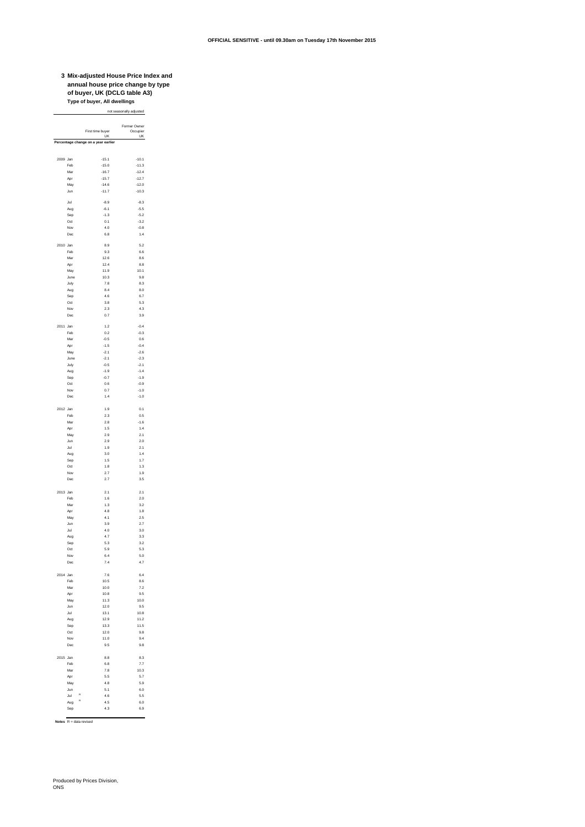**3 Mix-adjusted House Price Index and annual house price change by type of buyer, UK (DCLG table A3) Type of buyer, All dwellings**

not seasonally adjusted

|          |             | First time buyer                    | Former Owner         |
|----------|-------------|-------------------------------------|----------------------|
|          |             | UK                                  | Occupier<br>UK       |
|          |             | Percentage change on a year earlier |                      |
|          |             |                                     |                      |
| 2009 Jan | Feb         | $-15.1$<br>$-15.0$                  | $-10.1$<br>$-11.3$   |
|          | Mar         | $-16.7$                             | $-12.4$              |
|          | Apr<br>May  | $-15.7$<br>$-14.6$                  | $-12.7$<br>$-12.0$   |
|          | Jun         | $-11.7$                             | $-10.3$              |
|          | Jul         | $-8.9$                              | $-8.3$               |
|          | Aug         | $-6.1$                              | $-5.5$               |
|          | Sep         | $-1.3$                              | $-5.2$               |
|          | Oct<br>Nov  | 0.1<br>4.0                          | $-3.2$<br>$-0.8$     |
|          | Dec         | $_{\rm 6.8}$                        | 1.4                  |
| 2010 Jan |             | 8.9                                 | 5.2                  |
|          | Feb         | 9.3                                 | 6.6                  |
|          | Mar         | 12.6<br>12.4                        | $_{\rm 8.6}$         |
|          | Apr<br>May  | 11.9                                | $_{\rm 8.8}$<br>10.1 |
|          | June        | 10.3                                | 9.8                  |
|          | July        | 7.8                                 | 8.3                  |
|          | Aug<br>Sep  | 8.4<br>4.6                          | 8.0<br>6.7           |
|          | Oct         | 3.8                                 | 5.3                  |
|          | Nov         | 2.3                                 | 4.3                  |
|          | Dec         | 0.7                                 | 3.9                  |
| 2011 Jan |             | 1.2                                 | $-0.4$               |
|          | Feb<br>Mar  | 0.2<br>$-0.5$                       | $-0.3$<br>0.6        |
|          | Apr         | $-1.5$                              | $-0.4$               |
|          | May         | $-2.1$                              | $-2.6$               |
|          | June        | $-2.1$<br>$-0.5$                    | $-2.3$<br>$-2.1$     |
|          | July<br>Aug | $-1.9$                              | $-1.4$               |
|          | Sep         | $-0.7$                              | $-1.9$               |
|          | Oct         | 0.6                                 | $-0.9$               |
|          | Nov<br>Dec  | 0.7<br>1.4                          | $-1.0$<br>$-1.0$     |
|          |             |                                     |                      |
| 2012 Jan | Feb         | 1.9<br>2.3                          | 0.1<br>0.5           |
|          | Mar         | 2.8                                 | $-1.6$               |
|          | Apr         | 1.5                                 | 1.4                  |
|          | May<br>Jun  | 2.9<br>2.9                          | 2.1<br>2.0           |
|          | Jul         | 1.9                                 | 2.1                  |
|          | Aug         | 3.0<br>1.5                          | 1.4<br>1.7           |
|          | Sep<br>Oct  | 1.8                                 | 1.3                  |
|          | Nov         | 2.7                                 | 1.9                  |
|          | Dec         | 2.7                                 | 3.5                  |
| 2013 Jan |             | 2.1                                 | 2.1                  |
|          | Feb         | 1.6                                 | 2.0                  |
|          | Mar<br>Apr  | 1.3<br>4.8                          | 3.2<br>1.8           |
|          | May         | 4.1                                 | 2.5                  |
|          | Jun         | 3.9                                 | 2.7                  |
|          | Jul<br>Aug  | 4.0<br>4.7                          | 3.0<br>3.3           |
|          | Sep         | 5.3                                 | 3.2                  |
|          | Oct<br>Nov  | 5.9<br>6.4                          | 5.3<br>5.0           |
|          |             | 74                                  | 47                   |
|          |             |                                     |                      |
| 2014     | Jan<br>Feb  | 7.6<br>10.5                         | 6.4<br>$_{\rm 8.6}$  |
|          | Mar         | 10.0                                | 7.2                  |
|          | Apr         | 10.8                                | 9.5                  |
|          | May<br>Jun  | 11.3<br>12.0                        | 10.0<br>9.5          |
|          | Jul         | 13.1                                | 10.8                 |
|          | Aug         | 12.9                                | 11.2                 |
|          | Sep         | 13.3<br>12.0                        | 11.5<br>9.8          |
|          | Oct<br>Nov  | 11.0                                | 9.4                  |
|          | Dec         | 9.5                                 | 9.8                  |
| 2015     | Jan         | 8.8                                 | 8.3                  |
|          | Feb         | 6.8                                 | 7.7                  |
|          | Mar         | 7.8                                 | 10.3                 |
|          | Apr<br>May  | 5.5<br>4.8                          | 5.7<br>5.9           |
|          | Jun         | 5.1                                 | 6.0                  |
|          | Jul         | R<br>4.6<br>R                       | 5.5                  |
|          | Aug<br>Sep  | 4.5<br>4.3                          | 6.0<br>6.9           |
|          |             |                                     |                      |

**Notes** R = data revised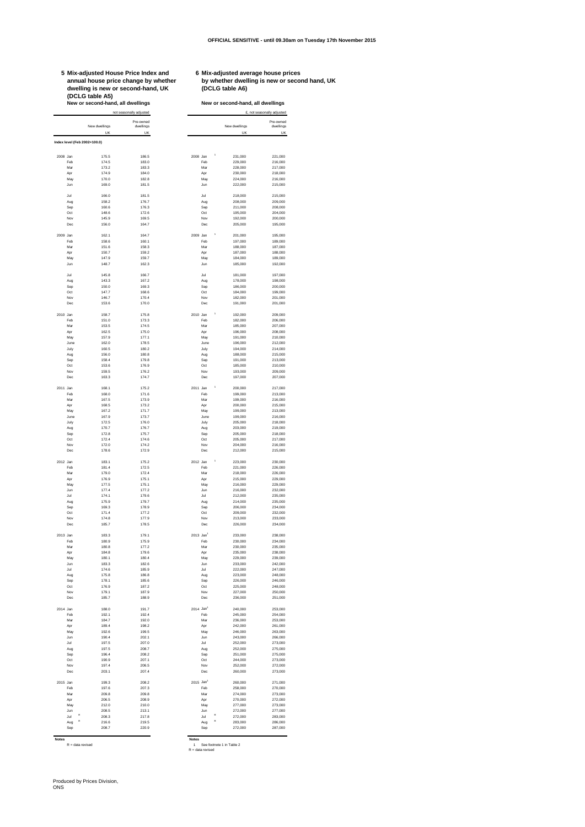**5 Mix-adjusted House Price Index and 6 Mix-adjusted average house prices dwelling is new or second-hand, UK (DCLG table A6) (DCLG table A5) New or second-hand, all dwellings New or second-hand, all dwellings**

 $\sim$ 

**annual house price change by whether by whether dwelling is new or second hand, UK**

|          |                     | New or second-hand, all dwellings  |                                                   |                       |                 | New or second-hand, all dwellings | £, not seasonally adjusted |
|----------|---------------------|------------------------------------|---------------------------------------------------|-----------------------|-----------------|-----------------------------------|----------------------------|
|          |                     | New dwellings                      | not seasonally adjusted<br>Pre-owned<br>dwellings |                       |                 | New dwellings                     | Pre-owned<br>dwellings     |
|          |                     | UK<br>Index level (Feb 2002=100.0) | UK                                                |                       |                 | UK                                | UK                         |
|          |                     |                                    |                                                   |                       |                 |                                   |                            |
| 2008 Jan |                     | 175.5                              | 186.5                                             | 2008 Jan              |                 | 231,000                           | 221,000                    |
|          | Feb                 | 174.5                              | 183.0                                             |                       | Feb             | 229,000<br>228,000                | 216,000                    |
|          | Mar<br>Apr          | 173.2<br>1749                      | 183.3<br>184.0                                    |                       | Mar<br>Apr      | 230,000                           | 217,000<br>218,000         |
|          | May                 | 170.0                              | 1828                                              |                       | May             | 224,000                           | 216,000                    |
|          | Jun                 | 169.0                              | 181.5                                             |                       | Jun             | 222,000                           | 215,000                    |
|          |                     |                                    |                                                   |                       |                 |                                   |                            |
|          | Jul<br>Aug          | 166.0<br>158.2                     | 181.5<br>176.7                                    |                       | Jul<br>Aug      | 218,000<br>208,000                | 215,000<br>209,000         |
|          | Sep                 | 160.6                              | 176.3                                             |                       | Sep             | 211,000                           | 208,000                    |
|          | Oct                 | 148.6                              | 172.6                                             |                       | Oct             | 195,000                           | 204,000                    |
|          | Nov                 | 145.9                              | 169.5                                             |                       | Nov             | 192,000                           | 200,000                    |
|          | Dec                 | 156.0                              | 164.7                                             |                       | Dec             | 205,000                           | 195,000                    |
| 2009 Jan |                     | 162.1                              | 164.7                                             | 2009 Jan              |                 | 201,000                           | 195,000                    |
|          | Feb                 | 158.6                              | 160.1                                             |                       | Feb             | 197,000                           | 189,000                    |
|          | Mar                 | 151.6                              | 158.3                                             |                       | Mar             | 188,000                           | 187,000                    |
|          | Apr<br>May          | 150.7<br>147.9                     | 159.2<br>159.7                                    |                       | Apr<br>May      | 187,000<br>184,000                | 188,000<br>189,000         |
|          | Jun                 | 148.7                              | 162.3                                             |                       | Jun             | 185,000                           | 192,000                    |
|          |                     |                                    |                                                   |                       |                 |                                   |                            |
|          | Jul                 | 145.8                              | 166.7                                             |                       | Jul             | 181,000                           | 197,000                    |
|          | Aug                 | 1433                               | 167.2                                             |                       | Aug             | 178,000                           | 198,000                    |
|          | Sep<br>Oct          | 150.0<br>147.7                     | 169.3<br>168.6                                    |                       | Sep<br>Oct      | 186,000<br>184,000                | 200,000<br>199,000         |
|          | Nov                 | 146.7                              | 170.4                                             |                       | Nov             | 182,000                           | 201,000                    |
|          | Dec                 | 153.6                              | 170.0                                             |                       | Dec             | 191,000                           | 201,000                    |
|          |                     |                                    |                                                   |                       |                 |                                   |                            |
| 2010 Jan |                     | 158.7                              | 175.8                                             | 2010 Jan              |                 | 192,000                           | 209,000                    |
|          | Feb<br>Mar          | 151.0<br>153.5                     | 173.3<br>174.5                                    |                       | Feb<br>Mar      | 182.000<br>185,000                | 206,000<br>207,000         |
|          | Apr                 | 162.5                              | 175.0                                             |                       | Apr             | 196,000                           | 208,000                    |
|          | May                 | 157.9                              | 177.1                                             |                       | May             | 191,000                           | 210,000                    |
|          | June                | 162.0                              | 178.5                                             |                       | June            | 196,000                           | 212,000                    |
|          | July                | 160.5                              | 1802                                              |                       | July            | 194,000                           | 214,000                    |
|          | Aug<br>Sep          | 156.0<br>158.4                     | 180.8<br>179.8                                    |                       | Aug<br>Sep      | 188,000<br>191.000                | 215,000<br>213,000         |
|          | Oct                 | 153.6                              | 176.9                                             |                       | Oct             | 185,000                           | 210,000                    |
|          | Nov                 | 159.5                              | 176.2                                             |                       | Nov             | 193,000                           | 209,000                    |
|          | Dec                 | 163.3                              | 174.7                                             |                       | Dec             | 197,000                           | 207,000                    |
|          |                     |                                    |                                                   |                       |                 |                                   |                            |
| 2011 Jan | Feb                 | 168.1<br>168.0                     | 175.2<br>171.6                                    | 2011 Jan              | Feb             | 200,000<br>199,000                | 217,000<br>213,000         |
|          | Mar                 | 167.5                              | 173.9                                             |                       | Mar             | 199,000                           | 216,000                    |
|          | Apr                 | 168.5                              | 173.2                                             |                       | Apr             | 200,000                           | 215,000                    |
|          | May                 | 167.2                              | 171.7                                             |                       | May             | 199,000                           | 213,000                    |
|          | June                | 167.9                              | 173.7                                             |                       | June            | 199,000                           | 216,000                    |
|          | July<br>Aug         | 172.5<br>170.7                     | 176.0<br>176.7                                    |                       | July<br>Aug     | 205,000<br>203,000                | 218,000<br>219,000         |
|          | Sep                 | 172.8                              | 175.7                                             |                       | Sep             | 205.000                           | 218,000                    |
|          | Oct                 | 172.4                              | 174.6                                             |                       | Oct             | 205,000                           | 217,000                    |
|          | Nov                 | 172.0                              | 174.2                                             |                       | Nov             | 204,000                           | 216,000                    |
|          | Dec                 | 178.6                              | 172.9                                             |                       | Dec             | 212,000                           | 215,000                    |
| 2012 Jan |                     | 1831                               | 1752                                              | 2012 Jan              |                 | 223,000                           | 230,000                    |
|          | Feb                 | 181.4                              | 172.5                                             |                       | Feb             | 221.000                           | 226,000                    |
|          | Mar                 | 179.0                              | 172.4                                             |                       | Mar             | 218,000                           | 226,000                    |
|          | Apr<br>May          | 176.9<br>177.5                     | 175.1<br>175.1                                    |                       | Apr<br>May      | 215,000<br>216,000                | 229,000<br>229,000         |
|          | Jun                 | 177.4                              | 1772                                              |                       | Jun             | 216,000                           | 232.000                    |
|          | Jul                 | 174.1                              | 179.6                                             |                       | Jul             | 212,000                           | 235,000                    |
|          | Aug                 | 175.9                              | 179.7                                             |                       | Aug             | 214.000                           | 235,000                    |
|          | Sep                 | 169.3                              | 178.9<br>177.2                                    |                       | Sep             | 206,000                           | 234,000                    |
|          | Oct<br>Nov          | 171.4<br>174.8                     | 177.9                                             |                       | Oct<br>Nov      | 209,000<br>213,000                | 232,000<br>233,000         |
|          | Dec                 | 185.7                              | 178.5                                             |                       | Dec             | 226,000                           | 234,000                    |
|          |                     |                                    |                                                   |                       |                 |                                   |                            |
| 2013 Jan |                     | 183.3<br>1809                      | 179.1<br>1759                                     | 2013 Jan <sup>1</sup> |                 | 233,000                           | 238,000                    |
|          | Feb<br>Mar          | 180.8                              | 177.2                                             |                       | Feb<br>Mar      | 230,000<br>230,000                | 234.000<br>235,000         |
|          | Apr                 | 184.8                              | 179.6                                             |                       | Apr             | 235,000                           | 238,000                    |
|          | May                 | 180.1                              | 180.4                                             |                       | May             | 229,000                           | 239,000                    |
|          | Jun                 | 183.3                              | 182.6                                             |                       | Jun             | 233,000                           | 242,000                    |
|          | Jul                 | 174.6                              | 185.9                                             |                       | Jul             | 222,000                           | 247,000                    |
|          | Aug<br>Sep          | 175.8<br>178.1                     | 186.8<br>185.6                                    |                       | Aug<br>Sep      | 223,000<br>226,000                | 248,000<br>246,000         |
|          | Oct                 | 176.9                              | 187.2                                             |                       | Oct             | 225,000                           | 248,000                    |
|          | Nov                 | 179.1                              | 187.9                                             |                       | Nov             | 227,000                           | 250,000                    |
|          | Dec                 | 185.7                              | 188.9                                             |                       | Dec             | 236,000                           | 251,000                    |
| 2014 Jan |                     | 188.0                              | 191.7                                             | 2014 Jan <sup>1</sup> |                 | 240.000                           | 253,000                    |
|          | Feb                 | 192.1                              | 192.4                                             |                       | Feb             | 245,000                           | 254,000                    |
|          | Mar                 | 184.7                              | 192.0                                             |                       | Mar             | 236,000                           | 253,000                    |
|          | Apr                 | 189.4                              | 198.2                                             |                       | Apr             | 242,000                           | 261,000                    |
|          | May                 | 192.6                              | 199.5                                             |                       | May             | 246,000                           | 263,000                    |
|          | Jun<br>Jul          | 190.4<br>197.5                     | 202.1<br>207.0                                    |                       | Jun<br>Jul      | 243,000<br>252,000                | 266,000<br>273,000         |
|          | Aug                 | 197.5                              | 208.7                                             |                       | Aug             | 252,000                           | 275,000                    |
|          | Sep                 | 196.4                              | 208.2                                             |                       | Sep             | 251,000                           | 275,000                    |
|          | Oct                 | 190.9                              | 207.1                                             |                       | Oct             | 244,000                           | 273,000                    |
|          | Nov                 | 197.4                              | 206.5                                             |                       | Nov             | 252,000                           | 272,000                    |
|          | Dec                 | 203.1                              | 207.4                                             |                       | Dec             | 260,000                           | 273,000                    |
| 2015 Jan |                     | 199.3                              | 208.2                                             | 2015 Jan <sup>1</sup> |                 | 260,000                           | 271.000                    |
|          | Feb                 | 197.6                              | 207.3                                             |                       | Feb             | 258,000                           | 270,000                    |
|          | Mar                 | 209.8                              | 209.8                                             |                       | Mar             | 274,000                           | 273,000                    |
|          | Apr                 | 206.5                              | 208.9                                             |                       | Apr             | 270,000                           | 272,000                    |
|          | May                 | 212.0                              | 210.0                                             |                       | May             | 277,000                           | 273,000                    |
|          | Jun<br>R<br>Jul     | 208.5<br>208.3                     | 213.1<br>217.8                                    |                       | Jun<br>R<br>Jul | 272,000<br>272,000                | 277,000<br>283,000         |
|          | $\mathsf{R}$<br>Aug | 216.6                              | 219.5                                             |                       | R<br>Aug        | 283,000                           | 286,000                    |
|          | Sep                 | 208.7                              | 220.9                                             |                       | Sep             | 272,000                           | 287,000                    |

**Notes**<br>**R** = data revised

R = data revised 1 See footnote 1 in Table 2<br>R = data revised R = data revised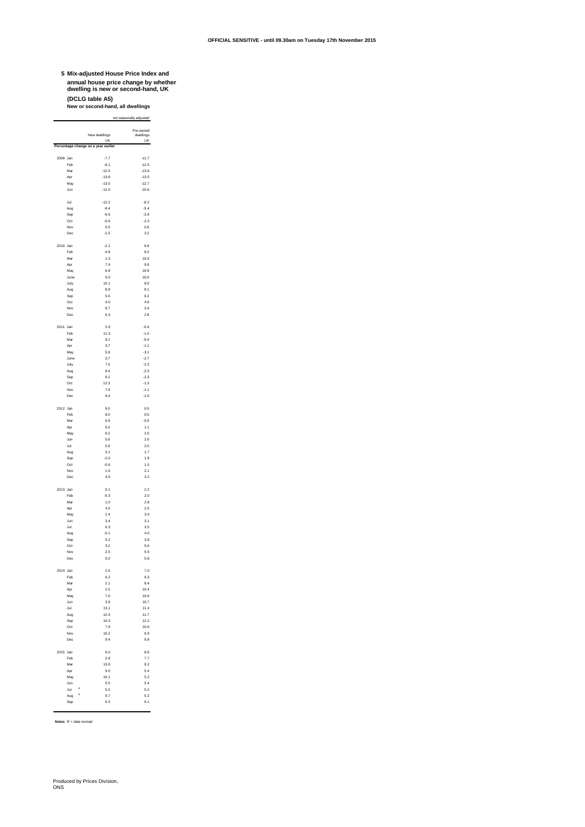## **5 Mix-adjusted House Price Index and annual house price change by whether dwelling is new or second-hand, UK (DCLG table A5) New or second-hand, all dwellings**

not seasonally adjusted

|          |                 | New dwellings<br>UK                 | Pre-owned<br>dwellings<br>UK |
|----------|-----------------|-------------------------------------|------------------------------|
|          |                 | Percentage change on a year earlier |                              |
| 2009 Jan |                 | $-7.7$                              | $-11.7$                      |
|          | Feb             | $-9.1$                              | $-12.5$                      |
|          | Mar             | $-12.5$                             | $-13.6$                      |
|          | Apr             | $-13.8$                             | $-13.5$                      |
|          | May             | $-13.0$                             | $-12.7$                      |
|          | Jun             | $-12.0$                             | $-10.6$                      |
|          | Jul             | $-12.2$                             | $-8.2$                       |
|          | Aug             | $-9.4$                              | $-5.4$                       |
|          | Sep             | $-6.6$                              | $-3.9$                       |
|          | Oct<br>Nov      | $-0.6$<br>0.5                       | $-2.3$<br>0.6                |
|          | Dec             | $-1.5$                              | 3.2                          |
|          |                 |                                     |                              |
| 2010 Jan |                 | $-2.1$                              | 6.8                          |
|          | Feb             | $-4.8$<br>1.3                       | 8.2                          |
|          | Mar<br>Apr      | 7.9                                 | 10.3<br>9.9                  |
|          | May             | 6.8                                 | 10.9                         |
|          | June            | 9.0                                 | 10.0                         |
|          | July            | 10.1                                | 8.0                          |
|          | Aug<br>Sep      | 8.8<br>5.6                          | 8.1<br>6.2                   |
|          | Oct             | 4.0                                 | 4.9                          |
|          | Nov             | 8.7                                 | 3.4                          |
|          | Dec             | 6.3                                 | 2.8                          |
|          |                 |                                     |                              |
| 2011 Jan | Feb             | 5.9<br>11.3                         | $-0.4$<br>$-1.0$             |
|          | Mar             | 9.1                                 | $-0.4$                       |
|          | Apr             | 3.7                                 | $-1.1$                       |
|          | May             | 5.9                                 | $-3.1$                       |
|          | June            | 3.7                                 | $-2.7$                       |
|          | July<br>Aug     | 7.5<br>9.4                          | $-2.3$<br>$-2.3$             |
|          | Sep             | 9.1                                 | $-2.3$                       |
|          | Oct             | 12.3                                | $-1.3$                       |
|          | Nov             | 7.9                                 | $-1.1$                       |
|          | Dec             | 9.4                                 | $-1.0$                       |
| 2012 Jan |                 | 9.0                                 | 0.0                          |
|          | Feb             | 8.0                                 | 0.5                          |
|          | Mar             | 6.9                                 | $-0.9$                       |
|          | Apr             | 5.0                                 | 1.1                          |
|          | May             | 6.2                                 | 2.0                          |
|          | Jun<br>Jul      | 5.6<br>0.9                          | 2.0<br>2.0                   |
|          | Aug             | 3.1                                 | 1.7                          |
|          | Sep             | $-2.0$                              | 1.8                          |
|          | Oct             | $-0.6$                              | 1.5                          |
|          | Nov             | 1.6                                 | 2.1                          |
|          | Dec             | 4.0                                 | 3.2                          |
| 2013 Jan |                 | 0.1                                 | 2.2                          |
|          | Feb             | $-0.3$                              | 2.0                          |
|          | Mar             | 1.0                                 | 2.8                          |
|          | Apr             | 4.5<br>14                           | 2.5                          |
|          | May<br>Jun      | 3.4                                 | 3.0<br>3.1                   |
|          | Jul             | 0.3                                 | 3.5                          |
|          | Aug             | $-0.1$                              | 4.0                          |
|          | Sep             | 5.2                                 | 3.8                          |
|          | Oct<br>Nov      | 3.2<br>2.5                          | 5.6<br>5.6                   |
|          | Dec             | 0.0                                 | 5.8                          |
|          |                 |                                     |                              |
| 2014 Jan |                 | 2.6                                 | 7.0                          |
|          | Feb<br>Mar      | 6.2<br>2.1                          | 9.3<br>8.4                   |
|          | Apr             | 2.5                                 | 10.4                         |
|          | May             | 7.0                                 | 10.6                         |
|          | Jun             | 3.9                                 | 10.7                         |
|          | Jul             | 13.1                                | 11.4                         |
|          | Aug             | 12.4<br>10.3                        | 11.7                         |
|          | Sep<br>Oct      | 7.9                                 | 12.2<br>10.6                 |
|          | Nov             | 10.2                                | 9.9                          |
|          | Dec             | 9.4                                 | 9.8                          |
|          |                 |                                     |                              |
| 2015     | Jan<br>Feb      | 6.0<br>2.8                          | 8.6<br>7.7                   |
|          | Mar             | 13.6                                | 9.2                          |
|          | Apr             | 9.0                                 | 5.4                          |
|          | May             | 10.1                                | 5.2                          |
|          | Jun<br>R        | 9.5                                 | 5.4                          |
|          | Jul<br>R<br>Aug | 5.5<br>9.7                          | 5.2<br>5.2                   |
|          | Sep             | 6.3                                 | 6.1                          |
|          |                 |                                     |                              |

**Notes** R = data revised